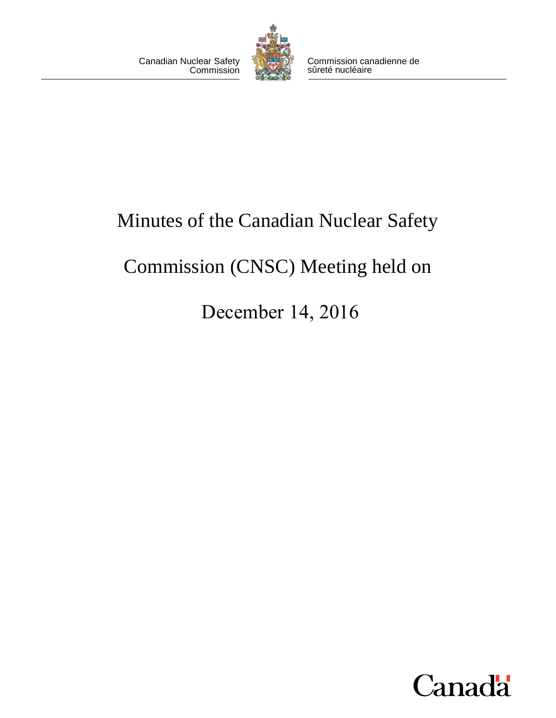

Canadian Nuclear Safety Commission canadienne de<br>Commission canadienne commission canadienne de sûreté nucléaire

# Minutes of the Canadian Nuclear Safety

# Commission (CNSC) Meeting held on

December 14, 2016

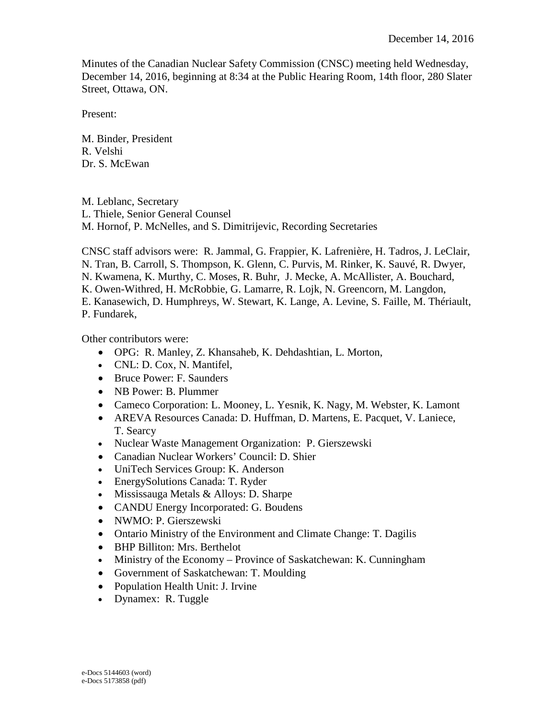Minutes of the Canadian Nuclear Safety Commission (CNSC) meeting held Wednesday, December 14, 2016, beginning at 8:34 at the Public Hearing Room, 14th floor, 280 Slater Street, Ottawa, ON.

Present:

M. Binder, President R. Velshi Dr. S. McEwan

M. Leblanc, Secretary L. Thiele, Senior General Counsel M. Hornof, P. McNelles, and S. Dimitrijevic, Recording Secretaries

CNSC staff advisors were: R. Jammal, G. Frappier, K. Lafrenière, H. Tadros, J. LeClair,

N. Tran, B. Carroll, S. Thompson, K. Glenn, C. Purvis, M. Rinker, K. Sauvé, R. Dwyer,

N. Kwamena, K. Murthy, C. Moses, R. Buhr, J. Mecke, A. McAllister, A. Bouchard,

K. Owen-Withred, H. McRobbie, G. Lamarre, R. Lojk, N. Greencorn, M. Langdon,

E. Kanasewich, D. Humphreys, W. Stewart, K. Lange, A. Levine, S. Faille, M. Thériault, P. Fundarek,

Other contributors were:

- OPG: R. Manley, Z. Khansaheb, K. Dehdashtian, L. Morton,
- CNL: D. Cox, N. Mantifel,
- Bruce Power: F. Saunders
- NB Power: B. Plummer
- Cameco Corporation: L. Mooney, L. Yesnik, K. Nagy, M. Webster, K. Lamont
- AREVA Resources Canada: D. Huffman, D. Martens, E. Pacquet, V. Laniece, T. Searcy
- Nuclear Waste Management Organization: P. Gierszewski
- Canadian Nuclear Workers' Council: D. Shier
- UniTech Services Group: K. Anderson
- EnergySolutions Canada: T. Ryder
- Mississauga Metals & Alloys: D. Sharpe
- CANDU Energy Incorporated: G. Boudens
- NWMO: P. Gierszewski
- Ontario Ministry of the Environment and Climate Change: T. Dagilis
- BHP Billiton: Mrs. Berthelot
- Ministry of the Economy Province of Saskatchewan: K. Cunningham
- Government of Saskatchewan: T. Moulding
- Population Health Unit: J. Irvine
- Dynamex: R. Tuggle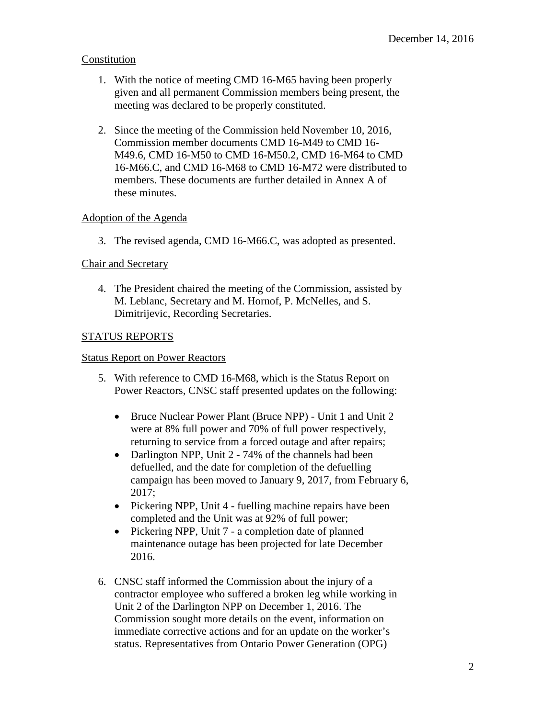# Constitution

- 1. With the notice of meeting CMD 16-M65 having been properly given and all permanent Commission members being present, the meeting was declared to be properly constituted.
- 2. Since the meeting of the Commission held November 10, 2016, Commission member documents CMD 16-M49 to CMD 16 M49.6, CMD 16-M50 to CMD 16-M50.2, CMD 16-M64 to CMD 16-M66.C, and CMD 16-M68 to CMD 16-M72 were distributed to members. These documents are further detailed in Annex A of these minutes.

# Adoption of the Agenda

3. The revised agenda, CMD 16-M66.C, was adopted as presented.

# Chair and Secretary

4. The President chaired the meeting of the Commission, assisted by M. Leblanc, Secretary and M. Hornof, P. McNelles, and S. Dimitrijevic, Recording Secretaries.

# STATUS REPORTS

## Status Report on Power Reactors

- 5. With reference to CMD 16-M68, which is the Status Report on Power Reactors, CNSC staff presented updates on the following:
	- returning to service from a forced outage and after repairs; • Bruce Nuclear Power Plant (Bruce NPP) - Unit 1 and Unit 2 were at 8% full power and 70% of full power respectively,
	- Darlington NPP, Unit 2 74% of the channels had been defuelled, and the date for completion of the defuelling campaign has been moved to January 9, 2017, from February 6, 2017;
	- Pickering NPP, Unit 4 fuelling machine repairs have been completed and the Unit was at 92% of full power;
	- Pickering NPP, Unit 7 a completion date of planned maintenance outage has been projected for late December 2016.
- 6. CNSC staff informed the Commission about the injury of a contractor employee who suffered a broken leg while working in Unit 2 of the Darlington NPP on December 1, 2016. The Commission sought more details on the event, information on immediate corrective actions and for an update on the worker's status. Representatives from Ontario Power Generation (OPG)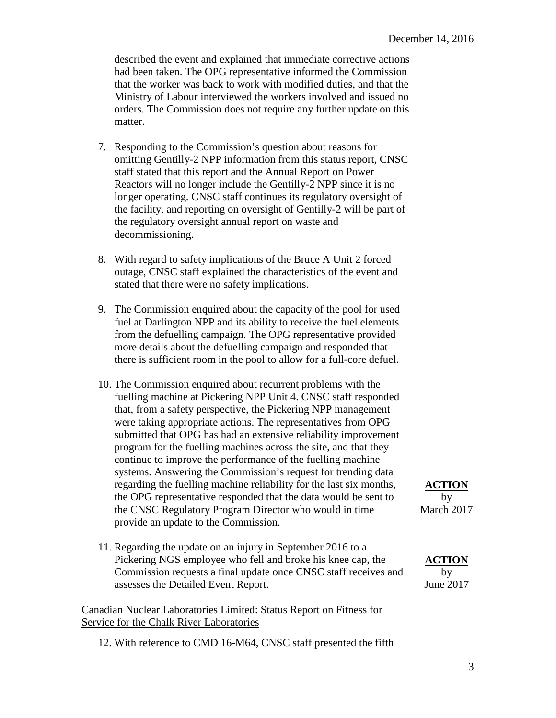that the worker was back to work with modified duties, and that the orders. The Commission does not require any further update on this described the event and explained that immediate corrective actions had been taken. The OPG representative informed the Commission Ministry of Labour interviewed the workers involved and issued no matter.

- 7. Responding to the Commission's question about reasons for omitting Gentilly-2 NPP information from this status report, CNSC staff stated that this report and the Annual Report on Power Reactors will no longer include the Gentilly-2 NPP since it is no longer operating. CNSC staff continues its regulatory oversight of the facility, and reporting on oversight of Gentilly-2 will be part of the regulatory oversight annual report on waste and decommissioning.
- 8. With regard to safety implications of the Bruce A Unit 2 forced outage, CNSC staff explained the characteristics of the event and stated that there were no safety implications.
- 9. The Commission enquired about the capacity of the pool for used fuel at Darlington NPP and its ability to receive the fuel elements from the defuelling campaign. The OPG representative provided more details about the defuelling campaign and responded that there is sufficient room in the pool to allow for a full-core defuel.
- 10. The Commission enquired about recurrent problems with the fuelling machine at Pickering NPP Unit 4. CNSC staff responded that, from a safety perspective, the Pickering NPP management were taking appropriate actions. The representatives from OPG submitted that OPG has had an extensive reliability improvement program for the fuelling machines across the site, and that they continue to improve the performance of the fuelling machine systems. Answering the Commission's request for trending data regarding the fuelling machine reliability for the last six months, **ACTION** the OPG representative responded that the data would be sent to by the CNSC Regulatory Program Director who would in time March 2017 provide an update to the Commission.
- 11. Regarding the update on an injury in September 2016 to a Pickering NGS employee who fell and broke his knee cap, the **ACTION** Commission requests a final update once CNSC staff receives and by assesses the Detailed Event Report. June 2017

## Canadian Nuclear Laboratories Limited: Status Report on Fitness for Service for the Chalk River Laboratories

12. With reference to CMD 16-M64, CNSC staff presented the fifth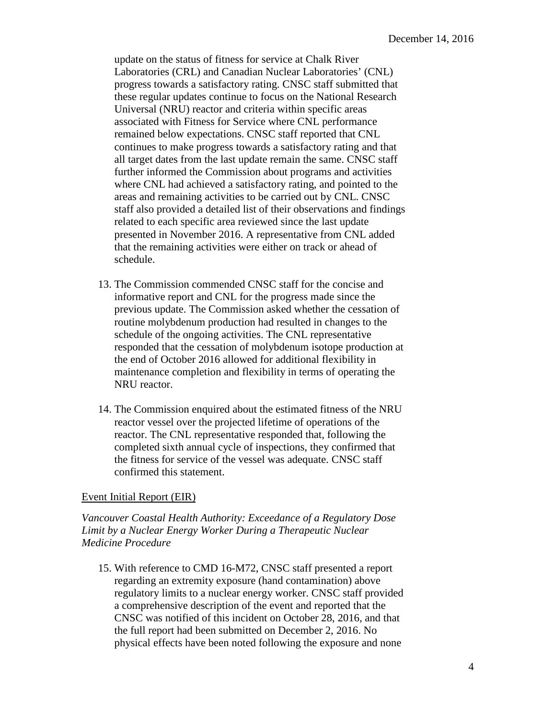Laboratories (CRL) and Canadian Nuclear Laboratories' (CNL) remained below expectations. CNSC staff reported that CNL continues to make progress towards a satisfactory rating and that update on the status of fitness for service at Chalk River progress towards a satisfactory rating. CNSC staff submitted that these regular updates continue to focus on the National Research Universal (NRU) reactor and criteria within specific areas associated with Fitness for Service where CNL performance all target dates from the last update remain the same. CNSC staff further informed the Commission about programs and activities where CNL had achieved a satisfactory rating, and pointed to the areas and remaining activities to be carried out by CNL. CNSC staff also provided a detailed list of their observations and findings related to each specific area reviewed since the last update presented in November 2016. A representative from CNL added that the remaining activities were either on track or ahead of schedule.

- 13. The Commission commended CNSC staff for the concise and informative report and CNL for the progress made since the previous update. The Commission asked whether the cessation of routine molybdenum production had resulted in changes to the schedule of the ongoing activities. The CNL representative responded that the cessation of molybdenum isotope production at the end of October 2016 allowed for additional flexibility in maintenance completion and flexibility in terms of operating the NRU reactor.
- the fitness for service of the vessel was adequate. CNSC staff 14. The Commission enquired about the estimated fitness of the NRU reactor vessel over the projected lifetime of operations of the reactor. The CNL representative responded that, following the completed sixth annual cycle of inspections, they confirmed that confirmed this statement.

#### Event Initial Report (EIR)

 *Limit by a Nuclear Energy Worker During a Therapeutic Nuclear Vancouver Coastal Health Authority: Exceedance of a Regulatory Dose Medicine Procedure* 

15. With reference to CMD 16-M72, CNSC staff presented a report regarding an extremity exposure (hand contamination) above regulatory limits to a nuclear energy worker. CNSC staff provided a comprehensive description of the event and reported that the CNSC was notified of this incident on October 28, 2016, and that the full report had been submitted on December 2, 2016. No physical effects have been noted following the exposure and none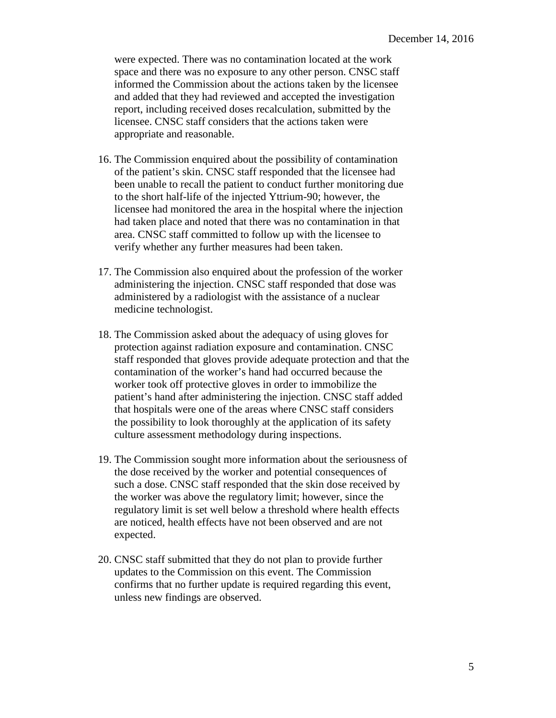were expected. There was no contamination located at the work space and there was no exposure to any other person. CNSC staff informed the Commission about the actions taken by the licensee and added that they had reviewed and accepted the investigation report, including received doses recalculation, submitted by the licensee. CNSC staff considers that the actions taken were appropriate and reasonable.

- licensee had monitored the area in the hospital where the injection verify whether any further measures had been taken. 16. The Commission enquired about the possibility of contamination of the patient's skin. CNSC staff responded that the licensee had been unable to recall the patient to conduct further monitoring due to the short half-life of the injected Yttrium-90; however, the had taken place and noted that there was no contamination in that area. CNSC staff committed to follow up with the licensee to
- 17. The Commission also enquired about the profession of the worker administering the injection. CNSC staff responded that dose was administered by a radiologist with the assistance of a nuclear medicine technologist.
- 18. The Commission asked about the adequacy of using gloves for protection against radiation exposure and contamination. CNSC staff responded that gloves provide adequate protection and that the contamination of the worker's hand had occurred because the worker took off protective gloves in order to immobilize the patient's hand after administering the injection. CNSC staff added that hospitals were one of the areas where CNSC staff considers the possibility to look thoroughly at the application of its safety culture assessment methodology during inspections.
- the dose received by the worker and potential consequences of 19. The Commission sought more information about the seriousness of such a dose. CNSC staff responded that the skin dose received by the worker was above the regulatory limit; however, since the regulatory limit is set well below a threshold where health effects are noticed, health effects have not been observed and are not expected.
- 20. CNSC staff submitted that they do not plan to provide further updates to the Commission on this event. The Commission confirms that no further update is required regarding this event, unless new findings are observed.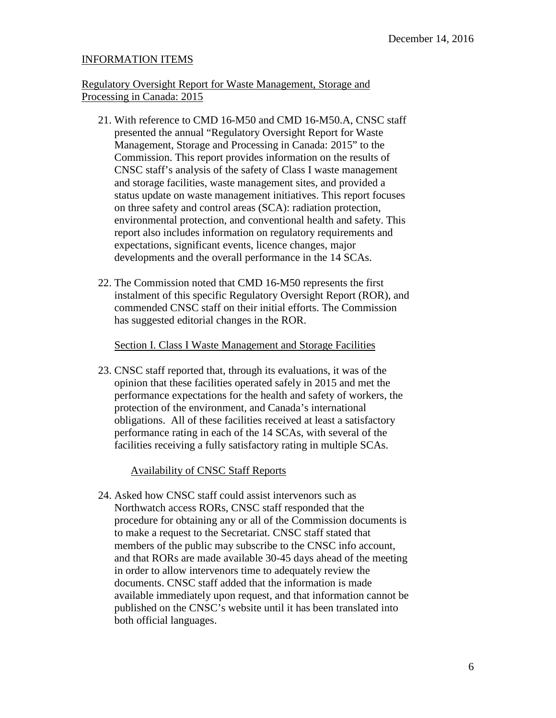## INFORMATION ITEMS

# Processing in Canada: 2015 Regulatory Oversight Report for Waste Management, Storage and

- Management, Storage and Processing in Canada: 2015" to the CNSC staff's analysis of the safety of Class I waste management expectations, significant events, licence changes, major developments and the overall performance in the 14 SCAs. 21. With reference to CMD 16-M50 and CMD 16-M50.A, CNSC staff presented the annual "Regulatory Oversight Report for Waste Commission. This report provides information on the results of and storage facilities, waste management sites, and provided a status update on waste management initiatives. This report focuses on three safety and control areas (SCA): radiation protection, environmental protection, and conventional health and safety. This report also includes information on regulatory requirements and
- 22. The Commission noted that CMD 16-M50 represents the first instalment of this specific Regulatory Oversight Report (ROR), and commended CNSC staff on their initial efforts. The Commission has suggested editorial changes in the ROR.

## Section I. Class I Waste Management and Storage Facilities

 performance expectations for the health and safety of workers, the facilities receiving a fully satisfactory rating in multiple SCAs. 23. CNSC staff reported that, through its evaluations, it was of the opinion that these facilities operated safely in 2015 and met the protection of the environment, and Canada's international obligations. All of these facilities received at least a satisfactory performance rating in each of the 14 SCAs, with several of the

### Availability of CNSC Staff Reports

 procedure for obtaining any or all of the Commission documents is published on the CNSC's website until it has been translated into 24. Asked how CNSC staff could assist intervenors such as Northwatch access RORs, CNSC staff responded that the to make a request to the Secretariat. CNSC staff stated that members of the public may subscribe to the CNSC info account, and that RORs are made available 30-45 days ahead of the meeting in order to allow intervenors time to adequately review the documents. CNSC staff added that the information is made available immediately upon request, and that information cannot be both official languages.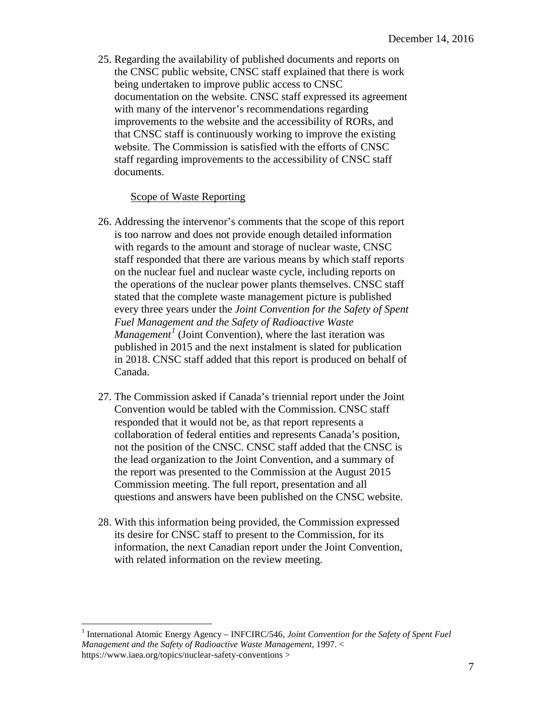25. Regarding the availability of published documents and reports on the CNSC public website, CNSC staff explained that there is work being undertaken to improve public access to CNSC documentation on the website. CNSC staff expressed its agreement with many of the intervenor's recommendations regarding improvements to the website and the accessibility of RORs, and that CNSC staff is continuously working to improve the existing website. The Commission is satisfied with the efforts of CNSC staff regarding improvements to the accessibility of CNSC staff documents.

#### Scope of Waste Reporting

- 26. Addressing the intervenor's comments that the scope of this report is too narrow and does not provide enough detailed information with regards to the amount and storage of nuclear waste, CNSC staff responded that there are various means by which staff reports on the nuclear fuel and nuclear waste cycle, including reports on the operations of the nuclear power plants themselves. CNSC staff stated that the complete waste management picture is published every three years under the *Joint Convention for the Safety of Spent Fuel Management and the Safety of Radioactive Waste Management<sup>[1](#page-7-0)</sup>* (Joint Convention), where the last iteration was published in 2015 and the next instalment is slated for publication in 2018. CNSC staff added that this report is produced on behalf of Canada.
- 27. The Commission asked if Canada's triennial report under the Joint Convention would be tabled with the Commission. CNSC staff responded that it would not be, as that report represents a collaboration of federal entities and represents Canada's position, not the position of the CNSC. CNSC staff added that the CNSC is the lead organization to the Joint Convention, and a summary of the report was presented to the Commission at the August 2015 Commission meeting. The full report, presentation and all questions and answers have been published on the CNSC website.
- 28. With this information being provided, the Commission expressed its desire for CNSC staff to present to the Commission, for its information, the next Canadian report under the Joint Convention, with related information on the review meeting.

 $\overline{a}$ 

<span id="page-7-0"></span><sup>&</sup>lt;sup>1</sup> International Atomic Energy Agency – INFCIRC/546, *Joint Convention for the Safety of Spent Fuel Management and the Safety of Radioactive Waste Management,* 1997. < https://www.iaea.org/topics/nuclear-safety-conventions >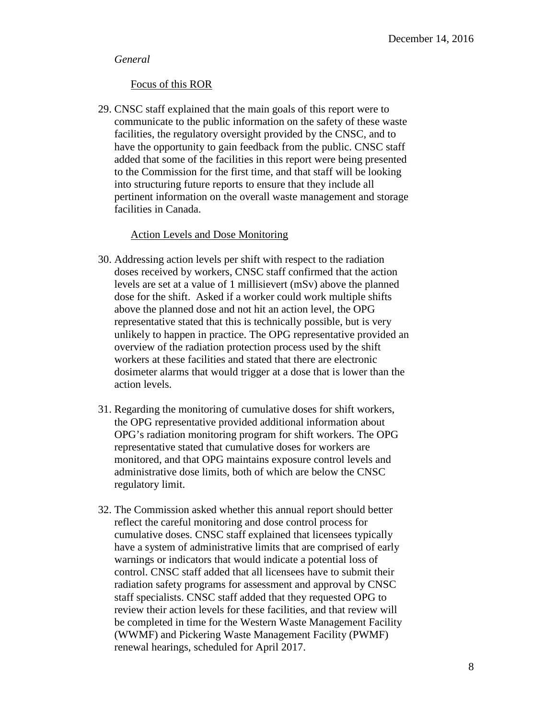#### *General*

#### Focus of this ROR

29. CNSC staff explained that the main goals of this report were to communicate to the public information on the safety of these waste facilities, the regulatory oversight provided by the CNSC, and to have the opportunity to gain feedback from the public. CNSC staff added that some of the facilities in this report were being presented to the Commission for the first time, and that staff will be looking into structuring future reports to ensure that they include all pertinent information on the overall waste management and storage facilities in Canada.

#### Action Levels and Dose Monitoring

- 30. Addressing action levels per shift with respect to the radiation doses received by workers, CNSC staff confirmed that the action levels are set at a value of 1 millisievert (mSv) above the planned dose for the shift. Asked if a worker could work multiple shifts above the planned dose and not hit an action level, the OPG representative stated that this is technically possible, but is very unlikely to happen in practice. The OPG representative provided an overview of the radiation protection process used by the shift workers at these facilities and stated that there are electronic dosimeter alarms that would trigger at a dose that is lower than the action levels.
- 31. Regarding the monitoring of cumulative doses for shift workers, the OPG representative provided additional information about OPG's radiation monitoring program for shift workers. The OPG representative stated that cumulative doses for workers are monitored, and that OPG maintains exposure control levels and administrative dose limits, both of which are below the CNSC regulatory limit.
- warnings or indicators that would indicate a potential loss of 32. The Commission asked whether this annual report should better reflect the careful monitoring and dose control process for cumulative doses. CNSC staff explained that licensees typically have a system of administrative limits that are comprised of early control. CNSC staff added that all licensees have to submit their radiation safety programs for assessment and approval by CNSC staff specialists. CNSC staff added that they requested OPG to review their action levels for these facilities, and that review will be completed in time for the Western Waste Management Facility (WWMF) and Pickering Waste Management Facility (PWMF) renewal hearings, scheduled for April 2017.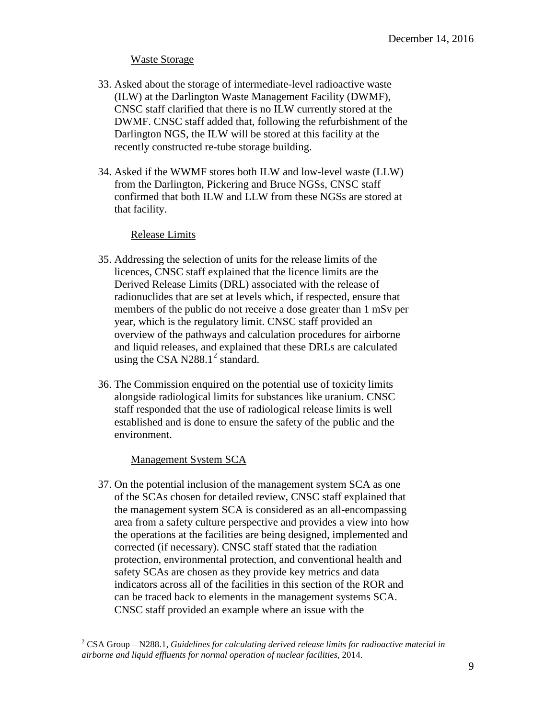## Waste Storage

- 33. Asked about the storage of intermediate-level radioactive waste (ILW) at the Darlington Waste Management Facility (DWMF), CNSC staff clarified that there is no ILW currently stored at the DWMF. CNSC staff added that, following the refurbishment of the Darlington NGS, the ILW will be stored at this facility at the recently constructed re-tube storage building.
- 34. Asked if the WWMF stores both ILW and low-level waste (LLW) from the Darlington, Pickering and Bruce NGSs, CNSC staff confirmed that both ILW and LLW from these NGSs are stored at that facility.

### Release Limits

- 35. Addressing the selection of units for the release limits of the licences, CNSC staff explained that the licence limits are the Derived Release Limits (DRL) associated with the release of radionuclides that are set at levels which, if respected, ensure that members of the public do not receive a dose greater than 1 mSv per year, which is the regulatory limit. CNSC staff provided an overview of the pathways and calculation procedures for airborne and liquid releases, and explained that these DRLs are calculated using the CSA N[2](#page-9-0)88.1<sup>2</sup> standard.
- 36. The Commission enquired on the potential use of toxicity limits alongside radiological limits for substances like uranium. CNSC staff responded that the use of radiological release limits is well established and is done to ensure the safety of the public and the environment.

# Management System SCA

 $\overline{a}$ 

37. On the potential inclusion of the management system SCA as one of the SCAs chosen for detailed review, CNSC staff explained that the management system SCA is considered as an all-encompassing area from a safety culture perspective and provides a view into how the operations at the facilities are being designed, implemented and corrected (if necessary). CNSC staff stated that the radiation protection, environmental protection, and conventional health and safety SCAs are chosen as they provide key metrics and data indicators across all of the facilities in this section of the ROR and can be traced back to elements in the management systems SCA. CNSC staff provided an example where an issue with the

<span id="page-9-0"></span> $2$  CSA Group – N288.1, *Guidelines for calculating derived release limits for radioactive material in airborne and liquid effluents for normal operation of nuclear facilities*, 2014.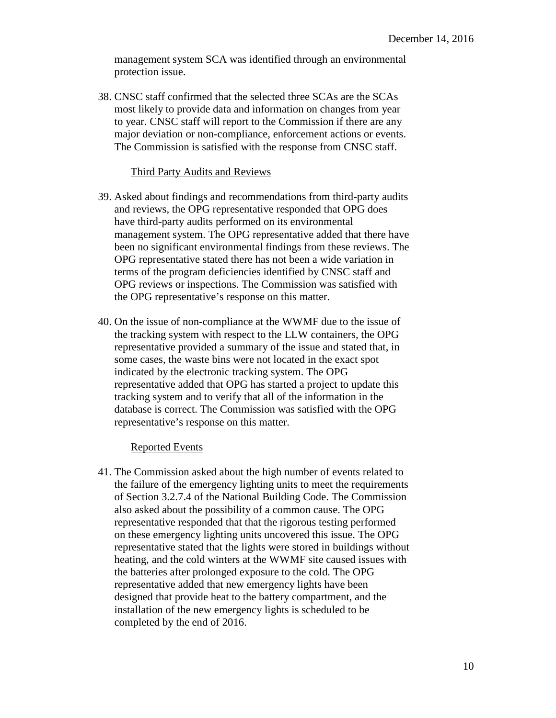management system SCA was identified through an environmental protection issue.

38. CNSC staff confirmed that the selected three SCAs are the SCAs most likely to provide data and information on changes from year to year. CNSC staff will report to the Commission if there are any major deviation or non-compliance, enforcement actions or events. The Commission is satisfied with the response from CNSC staff.

#### Third Party Audits and Reviews

- 39. Asked about findings and recommendations from third-party audits and reviews, the OPG representative responded that OPG does have third-party audits performed on its environmental management system. The OPG representative added that there have been no significant environmental findings from these reviews. The OPG representative stated there has not been a wide variation in terms of the program deficiencies identified by CNSC staff and OPG reviews or inspections. The Commission was satisfied with the OPG representative's response on this matter.
- 40. On the issue of non-compliance at the WWMF due to the issue of the tracking system with respect to the LLW containers, the OPG representative provided a summary of the issue and stated that, in some cases, the waste bins were not located in the exact spot indicated by the electronic tracking system. The OPG representative added that OPG has started a project to update this tracking system and to verify that all of the information in the database is correct. The Commission was satisfied with the OPG representative's response on this matter.

#### Reported Events

41. The Commission asked about the high number of events related to the failure of the emergency lighting units to meet the requirements of Section 3.2.7.4 of the National Building Code. The Commission also asked about the possibility of a common cause. The OPG representative responded that that the rigorous testing performed on these emergency lighting units uncovered this issue. The OPG representative stated that the lights were stored in buildings without heating, and the cold winters at the WWMF site caused issues with the batteries after prolonged exposure to the cold. The OPG representative added that new emergency lights have been designed that provide heat to the battery compartment, and the installation of the new emergency lights is scheduled to be completed by the end of 2016.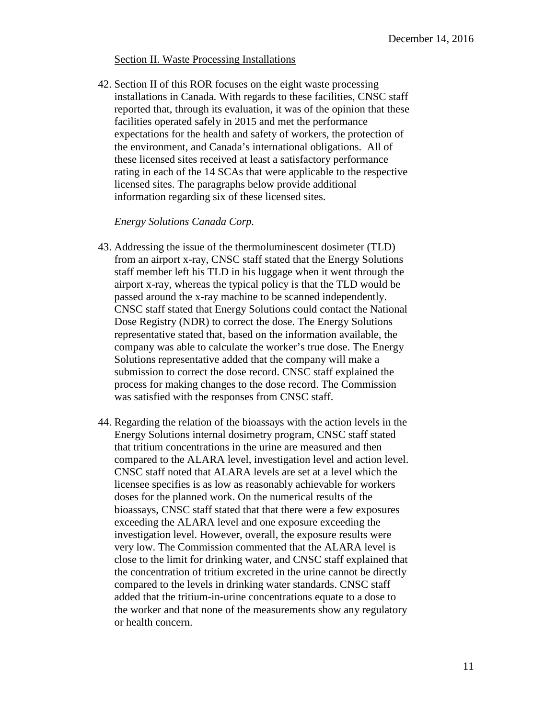#### Section II. Waste Processing Installations

42. Section II of this ROR focuses on the eight waste processing installations in Canada. With regards to these facilities, CNSC staff reported that, through its evaluation, it was of the opinion that these facilities operated safely in 2015 and met the performance expectations for the health and safety of workers, the protection of the environment, and Canada's international obligations. All of these licensed sites received at least a satisfactory performance rating in each of the 14 SCAs that were applicable to the respective licensed sites. The paragraphs below provide additional information regarding six of these licensed sites.

#### *Energy Solutions Canada Corp.*

- 43. Addressing the issue of the thermoluminescent dosimeter (TLD) from an airport x-ray, CNSC staff stated that the Energy Solutions staff member left his TLD in his luggage when it went through the airport x-ray, whereas the typical policy is that the TLD would be passed around the x-ray machine to be scanned independently. CNSC staff stated that Energy Solutions could contact the National Dose Registry (NDR) to correct the dose. The Energy Solutions representative stated that, based on the information available, the company was able to calculate the worker's true dose. The Energy Solutions representative added that the company will make a submission to correct the dose record. CNSC staff explained the process for making changes to the dose record. The Commission was satisfied with the responses from CNSC staff.
- 44. Regarding the relation of the bioassays with the action levels in the Energy Solutions internal dosimetry program, CNSC staff stated that tritium concentrations in the urine are measured and then compared to the ALARA level, investigation level and action level. CNSC staff noted that ALARA levels are set at a level which the licensee specifies is as low as reasonably achievable for workers doses for the planned work. On the numerical results of the bioassays, CNSC staff stated that that there were a few exposures exceeding the ALARA level and one exposure exceeding the investigation level. However, overall, the exposure results were very low. The Commission commented that the ALARA level is close to the limit for drinking water, and CNSC staff explained that the concentration of tritium excreted in the urine cannot be directly compared to the levels in drinking water standards. CNSC staff added that the tritium-in-urine concentrations equate to a dose to the worker and that none of the measurements show any regulatory or health concern.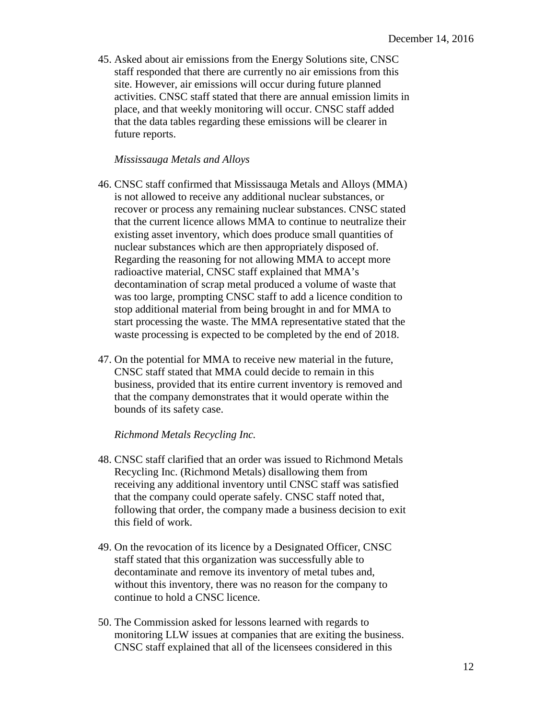45. Asked about air emissions from the Energy Solutions site, CNSC staff responded that there are currently no air emissions from this site. However, air emissions will occur during future planned activities. CNSC staff stated that there are annual emission limits in place, and that weekly monitoring will occur. CNSC staff added that the data tables regarding these emissions will be clearer in future reports.

#### *Mississauga Metals and Alloys*

- 46. CNSC staff confirmed that Mississauga Metals and Alloys (MMA) is not allowed to receive any additional nuclear substances, or recover or process any remaining nuclear substances. CNSC stated that the current licence allows MMA to continue to neutralize their existing asset inventory, which does produce small quantities of nuclear substances which are then appropriately disposed of. Regarding the reasoning for not allowing MMA to accept more radioactive material, CNSC staff explained that MMA's decontamination of scrap metal produced a volume of waste that was too large, prompting CNSC staff to add a licence condition to stop additional material from being brought in and for MMA to start processing the waste. The MMA representative stated that the waste processing is expected to be completed by the end of 2018.
- 47. On the potential for MMA to receive new material in the future, CNSC staff stated that MMA could decide to remain in this business, provided that its entire current inventory is removed and that the company demonstrates that it would operate within the bounds of its safety case.

#### *Richmond Metals Recycling Inc.*

- 48. CNSC staff clarified that an order was issued to Richmond Metals Recycling Inc. (Richmond Metals) disallowing them from receiving any additional inventory until CNSC staff was satisfied that the company could operate safely. CNSC staff noted that, following that order, the company made a business decision to exit this field of work.
- 49. On the revocation of its licence by a Designated Officer, CNSC staff stated that this organization was successfully able to decontaminate and remove its inventory of metal tubes and, without this inventory, there was no reason for the company to continue to hold a CNSC licence.
- 50. The Commission asked for lessons learned with regards to monitoring LLW issues at companies that are exiting the business. CNSC staff explained that all of the licensees considered in this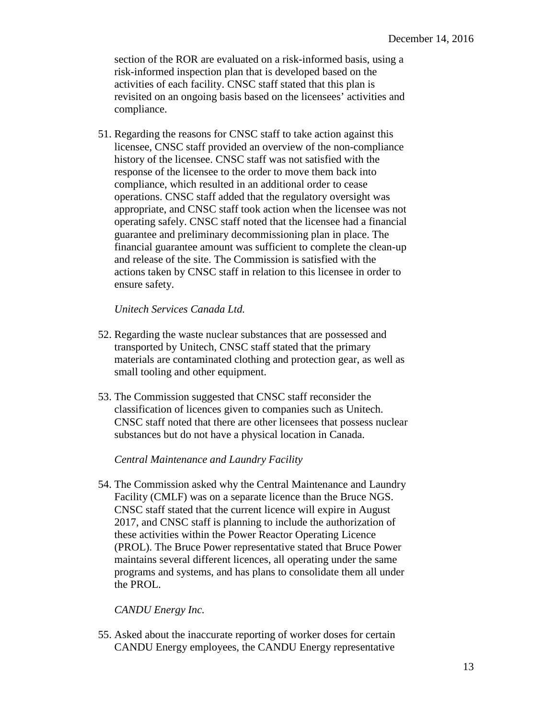section of the ROR are evaluated on a risk-informed basis, using a risk-informed inspection plan that is developed based on the activities of each facility. CNSC staff stated that this plan is revisited on an ongoing basis based on the licensees' activities and compliance.

51. Regarding the reasons for CNSC staff to take action against this licensee, CNSC staff provided an overview of the non-compliance history of the licensee. CNSC staff was not satisfied with the response of the licensee to the order to move them back into compliance, which resulted in an additional order to cease operations. CNSC staff added that the regulatory oversight was appropriate, and CNSC staff took action when the licensee was not operating safely. CNSC staff noted that the licensee had a financial guarantee and preliminary decommissioning plan in place. The financial guarantee amount was sufficient to complete the clean-up and release of the site. The Commission is satisfied with the actions taken by CNSC staff in relation to this licensee in order to ensure safety.

# *Unitech Services Canada Ltd.*

- 52. Regarding the waste nuclear substances that are possessed and transported by Unitech, CNSC staff stated that the primary materials are contaminated clothing and protection gear, as well as small tooling and other equipment.
- 53. The Commission suggested that CNSC staff reconsider the classification of licences given to companies such as Unitech. CNSC staff noted that there are other licensees that possess nuclear substances but do not have a physical location in Canada.

# *Central Maintenance and Laundry Facility*

54. The Commission asked why the Central Maintenance and Laundry Facility (CMLF) was on a separate licence than the Bruce NGS. CNSC staff stated that the current licence will expire in August 2017, and CNSC staff is planning to include the authorization of these activities within the Power Reactor Operating Licence (PROL). The Bruce Power representative stated that Bruce Power maintains several different licences, all operating under the same programs and systems, and has plans to consolidate them all under the PROL.

### *CANDU Energy Inc.*

55. Asked about the inaccurate reporting of worker doses for certain CANDU Energy employees, the CANDU Energy representative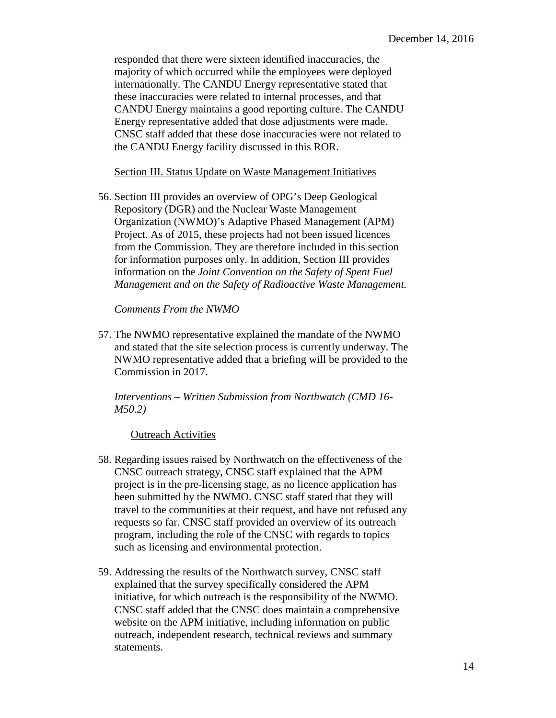responded that there were sixteen identified inaccuracies, the majority of which occurred while the employees were deployed internationally. The CANDU Energy representative stated that these inaccuracies were related to internal processes, and that CANDU Energy maintains a good reporting culture. The CANDU Energy representative added that dose adjustments were made. CNSC staff added that these dose inaccuracies were not related to the CANDU Energy facility discussed in this ROR.

Section III. Status Update on Waste Management Initiatives

56. Section III provides an overview of OPG's Deep Geological Repository (DGR) and the Nuclear Waste Management Organization (NWMO)'s Adaptive Phased Management (APM) Project. As of 2015, these projects had not been issued licences from the Commission. They are therefore included in this section for information purposes only. In addition, Section III provides information on the *Joint Convention on the Safety of Spent Fuel Management and on the Safety of Radioactive Waste Management.* 

*Comments From the NWMO* 

57. The NWMO representative explained the mandate of the NWMO and stated that the site selection process is currently underway. The NWMO representative added that a briefing will be provided to the Commission in 2017.

*Interventions – Written Submission from Northwatch (CMD 16 M50.2)* 

Outreach Activities

- 58. Regarding issues raised by Northwatch on the effectiveness of the CNSC outreach strategy, CNSC staff explained that the APM project is in the pre-licensing stage, as no licence application has been submitted by the NWMO. CNSC staff stated that they will travel to the communities at their request, and have not refused any requests so far. CNSC staff provided an overview of its outreach program, including the role of the CNSC with regards to topics such as licensing and environmental protection.
- 59. Addressing the results of the Northwatch survey, CNSC staff explained that the survey specifically considered the APM initiative, for which outreach is the responsibility of the NWMO. CNSC staff added that the CNSC does maintain a comprehensive website on the APM initiative, including information on public outreach, independent research, technical reviews and summary statements.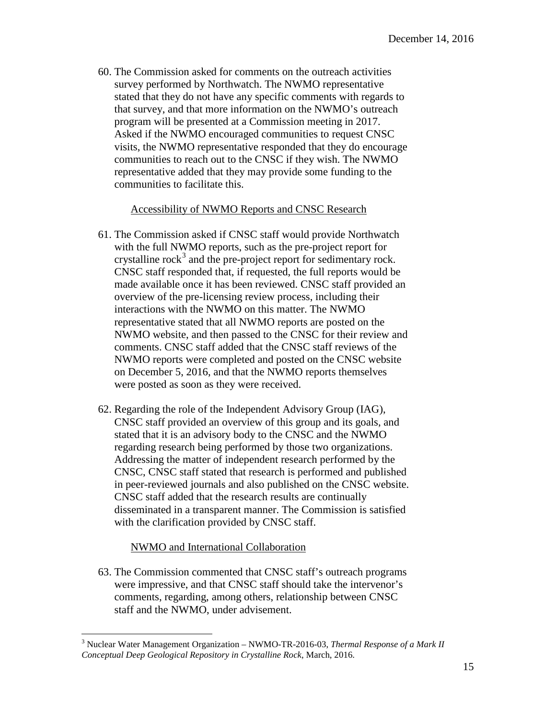60. The Commission asked for comments on the outreach activities survey performed by Northwatch. The NWMO representative stated that they do not have any specific comments with regards to that survey, and that more information on the NWMO's outreach program will be presented at a Commission meeting in 2017. Asked if the NWMO encouraged communities to request CNSC visits, the NWMO representative responded that they do encourage communities to reach out to the CNSC if they wish. The NWMO representative added that they may provide some funding to the communities to facilitate this.

## Accessibility of NWMO Reports and CNSC Research

- 61. The Commission asked if CNSC staff would provide Northwatch with the full NWMO reports, such as the pre-project report for crystalline  $rock<sup>3</sup>$  and the pre-project report for sedimentary rock. CNSC staff responded that, if requested, the full reports would be made available once it has been reviewed. CNSC staff provided an overview of the pre-licensing review process, including their interactions with the NWMO on this matter. The NWMO representative stated that all NWMO reports are posted on the NWMO website, and then passed to the CNSC for their review and comments. CNSC staff added that the CNSC staff reviews of the NWMO reports were completed and posted on the CNSC website on December 5, 2016, and that the NWMO reports themselves were posted as soon as they were received.
- 62. Regarding the role of the Independent Advisory Group (IAG), CNSC staff provided an overview of this group and its goals, and stated that it is an advisory body to the CNSC and the NWMO regarding research being performed by those two organizations. Addressing the matter of independent research performed by the CNSC, CNSC staff stated that research is performed and published in peer-reviewed journals and also published on the CNSC website. CNSC staff added that the research results are continually disseminated in a transparent manner. The Commission is satisfied with the clarification provided by CNSC staff.

# NWMO and International Collaboration

63. The Commission commented that CNSC staff's outreach programs were impressive, and that CNSC staff should take the intervenor's comments, regarding, among others, relationship between CNSC staff and the NWMO, under advisement.

<span id="page-15-0"></span> $\overline{a}$ 3 Nuclear Water Management Organization – NWMO-TR-2016-03, *Thermal Response of a Mark II Conceptual Deep Geological Repository in Crystalline Rock*, March, 2016.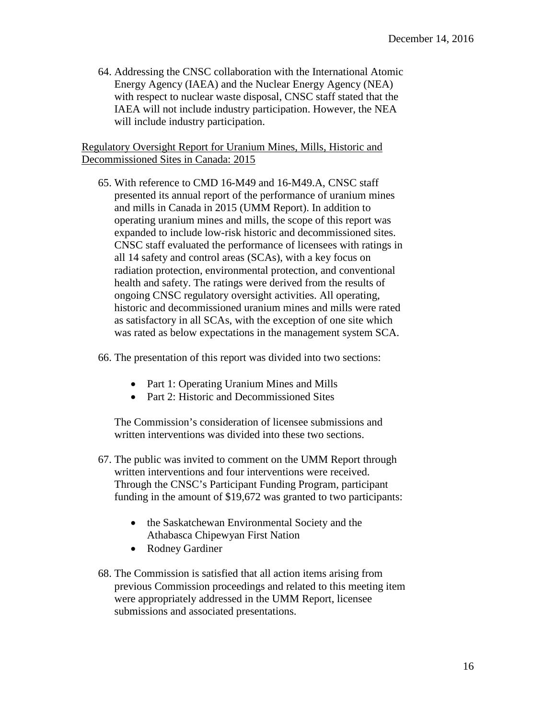64. Addressing the CNSC collaboration with the International Atomic Energy Agency (IAEA) and the Nuclear Energy Agency (NEA) with respect to nuclear waste disposal, CNSC staff stated that the IAEA will not include industry participation. However, the NEA will include industry participation.

## Regulatory Oversight Report for Uranium Mines, Mills, Historic and Decommissioned Sites in Canada: 2015

- 65. With reference to CMD 16-M49 and 16-M49.A, CNSC staff presented its annual report of the performance of uranium mines and mills in Canada in 2015 (UMM Report). In addition to operating uranium mines and mills, the scope of this report was expanded to include low-risk historic and decommissioned sites. CNSC staff evaluated the performance of licensees with ratings in all 14 safety and control areas (SCAs), with a key focus on radiation protection, environmental protection, and conventional health and safety. The ratings were derived from the results of ongoing CNSC regulatory oversight activities. All operating, historic and decommissioned uranium mines and mills were rated as satisfactory in all SCAs, with the exception of one site which was rated as below expectations in the management system SCA.
- 66. The presentation of this report was divided into two sections:
	- Part 1: Operating Uranium Mines and Mills
	- Part 2: Historic and Decommissioned Sites

The Commission's consideration of licensee submissions and written interventions was divided into these two sections.

- 67. The public was invited to comment on the UMM Report through written interventions and four interventions were received. Through the CNSC's Participant Funding Program, participant funding in the amount of \$19,672 was granted to two participants:
	- the Saskatchewan Environmental Society and the Athabasca Chipewyan First Nation
	- Rodney Gardiner
- 68. The Commission is satisfied that all action items arising from previous Commission proceedings and related to this meeting item were appropriately addressed in the UMM Report, licensee submissions and associated presentations.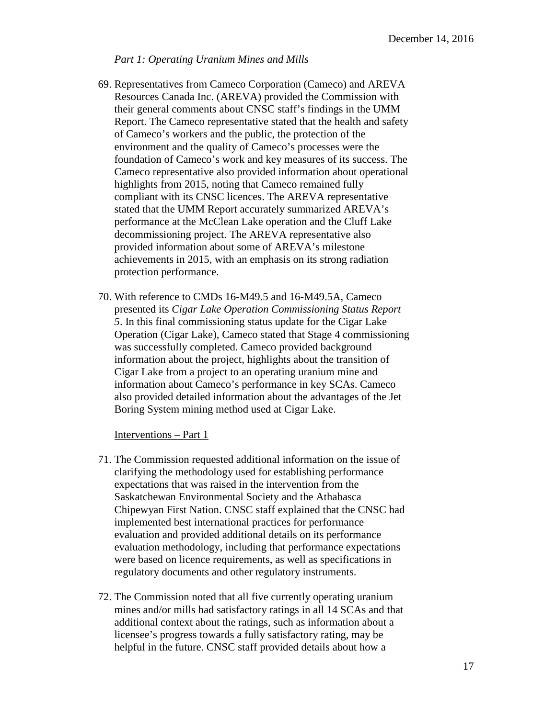#### *Part 1: Operating Uranium Mines and Mills*

- 69. Representatives from Cameco Corporation (Cameco) and AREVA Resources Canada Inc. (AREVA) provided the Commission with their general comments about CNSC staff's findings in the UMM Report. The Cameco representative stated that the health and safety of Cameco's workers and the public, the protection of the environment and the quality of Cameco's processes were the foundation of Cameco's work and key measures of its success. The Cameco representative also provided information about operational highlights from 2015, noting that Cameco remained fully compliant with its CNSC licences. The AREVA representative stated that the UMM Report accurately summarized AREVA's performance at the McClean Lake operation and the Cluff Lake decommissioning project. The AREVA representative also provided information about some of AREVA's milestone achievements in 2015, with an emphasis on its strong radiation protection performance.
- 70. With reference to CMDs 16-M49.5 and 16-M49.5A, Cameco presented its *Cigar Lake Operation Commissioning Status Report 5*. In this final commissioning status update for the Cigar Lake Operation (Cigar Lake), Cameco stated that Stage 4 commissioning was successfully completed. Cameco provided background information about the project, highlights about the transition of Cigar Lake from a project to an operating uranium mine and information about Cameco's performance in key SCAs. Cameco also provided detailed information about the advantages of the Jet Boring System mining method used at Cigar Lake.

Interventions – Part 1

- 71. The Commission requested additional information on the issue of clarifying the methodology used for establishing performance expectations that was raised in the intervention from the Saskatchewan Environmental Society and the Athabasca Chipewyan First Nation. CNSC staff explained that the CNSC had implemented best international practices for performance evaluation and provided additional details on its performance evaluation methodology, including that performance expectations were based on licence requirements, as well as specifications in regulatory documents and other regulatory instruments.
- 72. The Commission noted that all five currently operating uranium mines and/or mills had satisfactory ratings in all 14 SCAs and that additional context about the ratings, such as information about a licensee's progress towards a fully satisfactory rating, may be helpful in the future. CNSC staff provided details about how a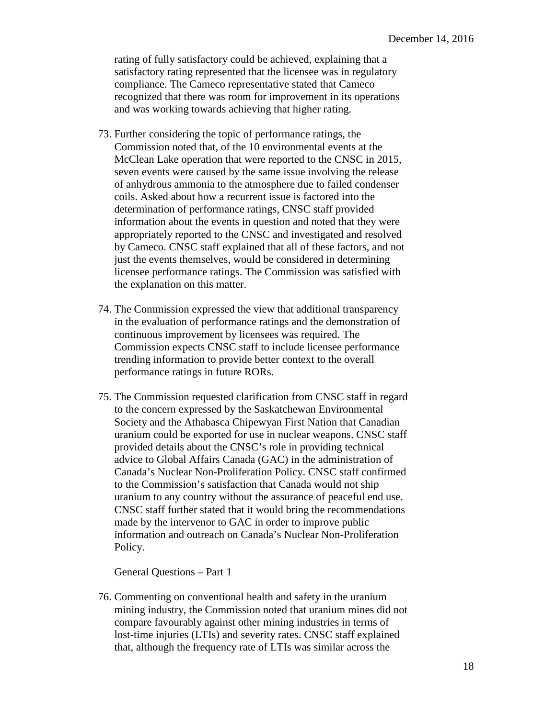rating of fully satisfactory could be achieved, explaining that a satisfactory rating represented that the licensee was in regulatory compliance. The Cameco representative stated that Cameco recognized that there was room for improvement in its operations and was working towards achieving that higher rating.

- 73. Further considering the topic of performance ratings, the Commission noted that, of the 10 environmental events at the McClean Lake operation that were reported to the CNSC in 2015, seven events were caused by the same issue involving the release of anhydrous ammonia to the atmosphere due to failed condenser coils. Asked about how a recurrent issue is factored into the determination of performance ratings, CNSC staff provided information about the events in question and noted that they were appropriately reported to the CNSC and investigated and resolved by Cameco. CNSC staff explained that all of these factors, and not just the events themselves, would be considered in determining licensee performance ratings. The Commission was satisfied with the explanation on this matter.
- 74. The Commission expressed the view that additional transparency in the evaluation of performance ratings and the demonstration of continuous improvement by licensees was required. The Commission expects CNSC staff to include licensee performance trending information to provide better context to the overall performance ratings in future RORs.
- 75. The Commission requested clarification from CNSC staff in regard to the concern expressed by the Saskatchewan Environmental Society and the Athabasca Chipewyan First Nation that Canadian uranium could be exported for use in nuclear weapons. CNSC staff provided details about the CNSC's role in providing technical advice to Global Affairs Canada (GAC) in the administration of Canada's Nuclear Non-Proliferation Policy. CNSC staff confirmed to the Commission's satisfaction that Canada would not ship uranium to any country without the assurance of peaceful end use. CNSC staff further stated that it would bring the recommendations made by the intervenor to GAC in order to improve public information and outreach on Canada's Nuclear Non-Proliferation Policy.

#### General Questions – Part 1

76. Commenting on conventional health and safety in the uranium mining industry, the Commission noted that uranium mines did not compare favourably against other mining industries in terms of lost-time injuries (LTIs) and severity rates. CNSC staff explained that, although the frequency rate of LTIs was similar across the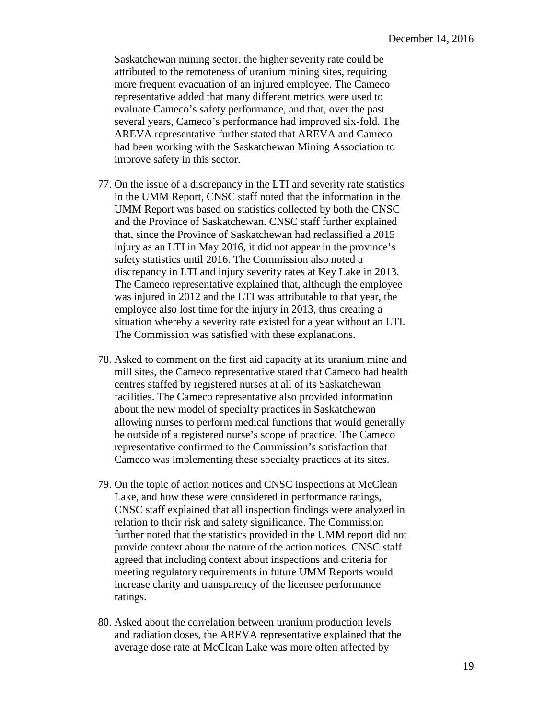Saskatchewan mining sector, the higher severity rate could be attributed to the remoteness of uranium mining sites, requiring more frequent evacuation of an injured employee. The Cameco representative added that many different metrics were used to evaluate Cameco's safety performance, and that, over the past several years, Cameco's performance had improved six-fold. The AREVA representative further stated that AREVA and Cameco had been working with the Saskatchewan Mining Association to improve safety in this sector.

- 77. On the issue of a discrepancy in the LTI and severity rate statistics in the UMM Report, CNSC staff noted that the information in the UMM Report was based on statistics collected by both the CNSC and the Province of Saskatchewan. CNSC staff further explained that, since the Province of Saskatchewan had reclassified a 2015 injury as an LTI in May 2016, it did not appear in the province's safety statistics until 2016. The Commission also noted a discrepancy in LTI and injury severity rates at Key Lake in 2013. The Cameco representative explained that, although the employee was injured in 2012 and the LTI was attributable to that year, the employee also lost time for the injury in 2013, thus creating a situation whereby a severity rate existed for a year without an LTI. The Commission was satisfied with these explanations.
- 78. Asked to comment on the first aid capacity at its uranium mine and mill sites, the Cameco representative stated that Cameco had health centres staffed by registered nurses at all of its Saskatchewan facilities. The Cameco representative also provided information about the new model of specialty practices in Saskatchewan allowing nurses to perform medical functions that would generally be outside of a registered nurse's scope of practice. The Cameco representative confirmed to the Commission's satisfaction that Cameco was implementing these specialty practices at its sites.
- 79. On the topic of action notices and CNSC inspections at McClean Lake, and how these were considered in performance ratings, CNSC staff explained that all inspection findings were analyzed in relation to their risk and safety significance. The Commission further noted that the statistics provided in the UMM report did not provide context about the nature of the action notices. CNSC staff agreed that including context about inspections and criteria for meeting regulatory requirements in future UMM Reports would increase clarity and transparency of the licensee performance ratings.
- 80. Asked about the correlation between uranium production levels and radiation doses, the AREVA representative explained that the average dose rate at McClean Lake was more often affected by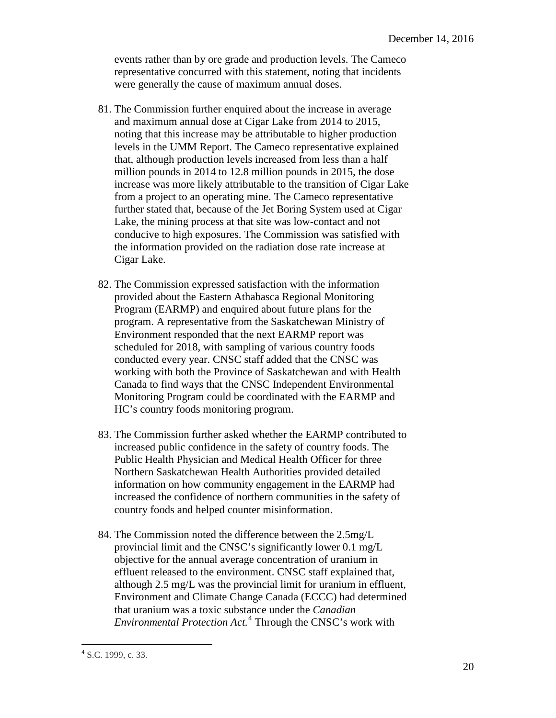events rather than by ore grade and production levels. The Cameco representative concurred with this statement, noting that incidents were generally the cause of maximum annual doses.

- 81. The Commission further enquired about the increase in average and maximum annual dose at Cigar Lake from 2014 to 2015, noting that this increase may be attributable to higher production levels in the UMM Report. The Cameco representative explained that, although production levels increased from less than a half million pounds in 2014 to 12.8 million pounds in 2015, the dose increase was more likely attributable to the transition of Cigar Lake from a project to an operating mine. The Cameco representative further stated that, because of the Jet Boring System used at Cigar Lake, the mining process at that site was low-contact and not conducive to high exposures. The Commission was satisfied with the information provided on the radiation dose rate increase at Cigar Lake.
- 82. The Commission expressed satisfaction with the information provided about the Eastern Athabasca Regional Monitoring Program (EARMP) and enquired about future plans for the program. A representative from the Saskatchewan Ministry of Environment responded that the next EARMP report was scheduled for 2018, with sampling of various country foods conducted every year. CNSC staff added that the CNSC was working with both the Province of Saskatchewan and with Health Canada to find ways that the CNSC Independent Environmental Monitoring Program could be coordinated with the EARMP and HC's country foods monitoring program.
- 83. The Commission further asked whether the EARMP contributed to increased public confidence in the safety of country foods. The Public Health Physician and Medical Health Officer for three Northern Saskatchewan Health Authorities provided detailed information on how community engagement in the EARMP had increased the confidence of northern communities in the safety of country foods and helped counter misinformation.
- 84. The Commission noted the difference between the 2.5mg/L provincial limit and the CNSC's significantly lower 0.1 mg/L objective for the annual average concentration of uranium in effluent released to the environment. CNSC staff explained that, although 2.5 mg/L was the provincial limit for uranium in effluent, Environment and Climate Change Canada (ECCC) had determined that uranium was a toxic substance under the *Canadian Environmental Protection Act.*[4](#page-20-0) Through the CNSC's work with

<span id="page-20-0"></span><sup>-</sup> $4$  S.C. 1999, c. 33.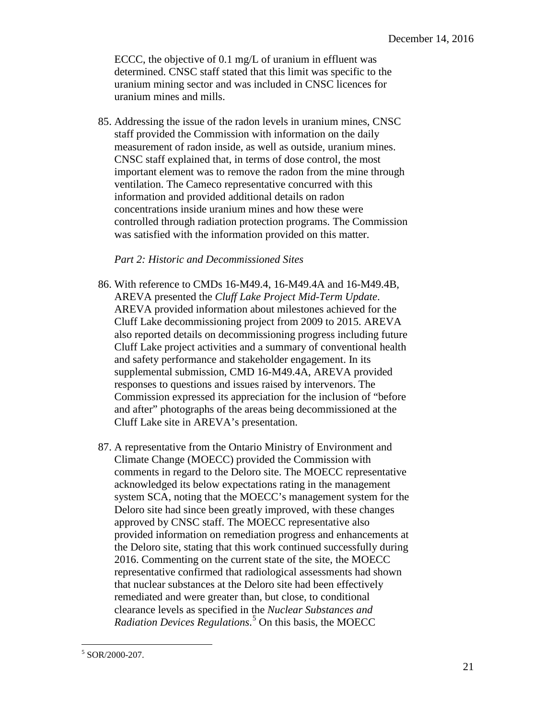ECCC, the objective of 0.1 mg/L of uranium in effluent was determined. CNSC staff stated that this limit was specific to the uranium mining sector and was included in CNSC licences for uranium mines and mills.

85. Addressing the issue of the radon levels in uranium mines, CNSC staff provided the Commission with information on the daily measurement of radon inside, as well as outside, uranium mines. CNSC staff explained that, in terms of dose control, the most important element was to remove the radon from the mine through ventilation. The Cameco representative concurred with this information and provided additional details on radon concentrations inside uranium mines and how these were controlled through radiation protection programs. The Commission was satisfied with the information provided on this matter.

## *Part 2: Historic and Decommissioned Sites*

- 86. With reference to CMDs 16-M49.4, 16-M49.4A and 16-M49.4B, AREVA presented the *Cluff Lake Project Mid-Term Update*. AREVA provided information about milestones achieved for the Cluff Lake decommissioning project from 2009 to 2015. AREVA also reported details on decommissioning progress including future Cluff Lake project activities and a summary of conventional health and safety performance and stakeholder engagement. In its supplemental submission, CMD 16-M49.4A, AREVA provided responses to questions and issues raised by intervenors. The Commission expressed its appreciation for the inclusion of "before and after" photographs of the areas being decommissioned at the Cluff Lake site in AREVA's presentation.
- 87. A representative from the Ontario Ministry of Environment and Climate Change (MOECC) provided the Commission with comments in regard to the Deloro site. The MOECC representative acknowledged its below expectations rating in the management system SCA, noting that the MOECC's management system for the Deloro site had since been greatly improved, with these changes approved by CNSC staff. The MOECC representative also provided information on remediation progress and enhancements at the Deloro site, stating that this work continued successfully during 2016. Commenting on the current state of the site, the MOECC representative confirmed that radiological assessments had shown that nuclear substances at the Deloro site had been effectively remediated and were greater than, but close, to conditional clearance levels as specified in the *Nuclear Substances and Radiation Devices Regulations*. [5](#page-21-0) On this basis, the MOECC

<span id="page-21-0"></span> $\overline{a}$  $5$  SOR/2000-207.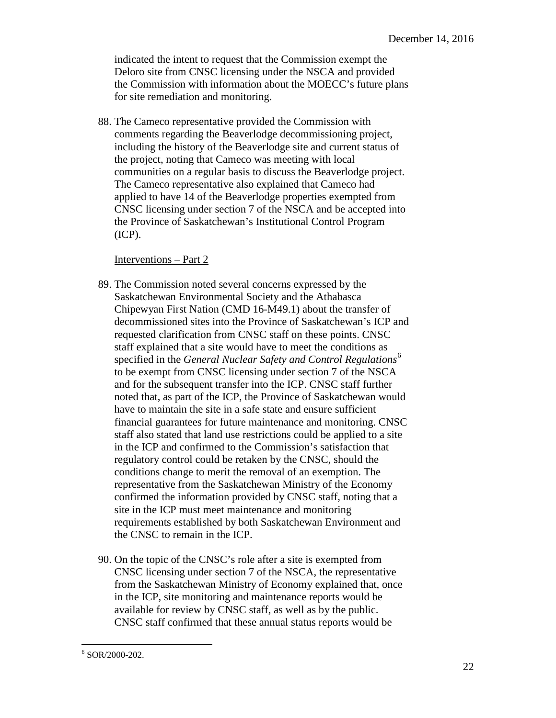indicated the intent to request that the Commission exempt the Deloro site from CNSC licensing under the NSCA and provided the Commission with information about the MOECC's future plans for site remediation and monitoring.

88. The Cameco representative provided the Commission with comments regarding the Beaverlodge decommissioning project, including the history of the Beaverlodge site and current status of the project, noting that Cameco was meeting with local communities on a regular basis to discuss the Beaverlodge project. The Cameco representative also explained that Cameco had applied to have 14 of the Beaverlodge properties exempted from CNSC licensing under section 7 of the NSCA and be accepted into the Province of Saskatchewan's Institutional Control Program (ICP).

Interventions – Part 2

- 89. The Commission noted several concerns expressed by the Saskatchewan Environmental Society and the Athabasca Chipewyan First Nation (CMD 16-M49.1) about the transfer of decommissioned sites into the Province of Saskatchewan's ICP and requested clarification from CNSC staff on these points. CNSC staff explained that a site would have to meet the conditions as specified in the *General Nuclear Safety and Control Regulations*<sup>6</sup> to be exempt from CNSC licensing under section 7 of the NSCA and for the subsequent transfer into the ICP. CNSC staff further noted that, as part of the ICP, the Province of Saskatchewan would have to maintain the site in a safe state and ensure sufficient financial guarantees for future maintenance and monitoring. CNSC staff also stated that land use restrictions could be applied to a site in the ICP and confirmed to the Commission's satisfaction that regulatory control could be retaken by the CNSC, should the conditions change to merit the removal of an exemption. The representative from the Saskatchewan Ministry of the Economy confirmed the information provided by CNSC staff, noting that a site in the ICP must meet maintenance and monitoring requirements established by both Saskatchewan Environment and the CNSC to remain in the ICP.
- 90. On the topic of the CNSC's role after a site is exempted from CNSC licensing under section 7 of the NSCA, the representative from the Saskatchewan Ministry of Economy explained that, once in the ICP, site monitoring and maintenance reports would be available for review by CNSC staff, as well as by the public. CNSC staff confirmed that these annual status reports would be

<span id="page-22-0"></span> $\overline{a}$  $6$  SOR/2000-202.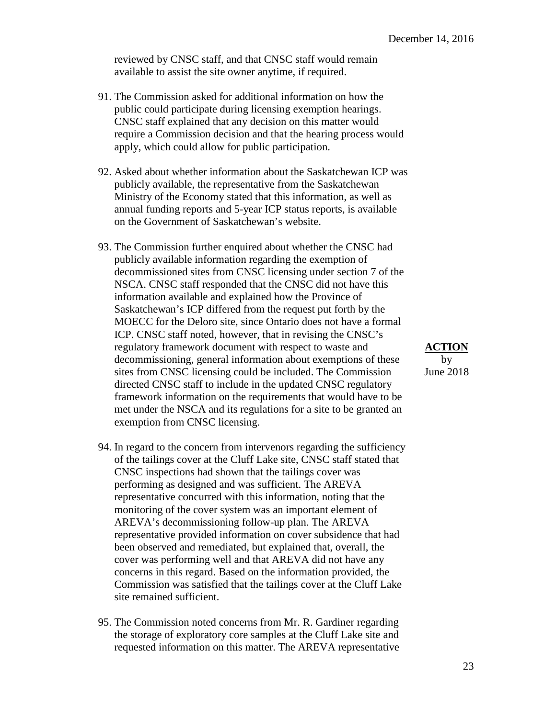reviewed by CNSC staff, and that CNSC staff would remain available to assist the site owner anytime, if required.

- 91. The Commission asked for additional information on how the public could participate during licensing exemption hearings. CNSC staff explained that any decision on this matter would require a Commission decision and that the hearing process would apply, which could allow for public participation.
- 92. Asked about whether information about the Saskatchewan ICP was publicly available, the representative from the Saskatchewan Ministry of the Economy stated that this information, as well as annual funding reports and 5-year ICP status reports, is available on the Government of Saskatchewan's website.
- 93. The Commission further enquired about whether the CNSC had publicly available information regarding the exemption of decommissioned sites from CNSC licensing under section 7 of the NSCA. CNSC staff responded that the CNSC did not have this information available and explained how the Province of Saskatchewan's ICP differed from the request put forth by the MOECC for the Deloro site, since Ontario does not have a formal ICP. CNSC staff noted, however, that in revising the CNSC's regulatory framework document with respect to waste and **ACTION**  decommissioning, general information about exemptions of these by sites from CNSC licensing could be included. The Commission June 2018 directed CNSC staff to include in the updated CNSC regulatory framework information on the requirements that would have to be met under the NSCA and its regulations for a site to be granted an exemption from CNSC licensing.
- 94. In regard to the concern from intervenors regarding the sufficiency of the tailings cover at the Cluff Lake site, CNSC staff stated that CNSC inspections had shown that the tailings cover was performing as designed and was sufficient. The AREVA representative concurred with this information, noting that the monitoring of the cover system was an important element of AREVA's decommissioning follow-up plan. The AREVA representative provided information on cover subsidence that had been observed and remediated, but explained that, overall, the cover was performing well and that AREVA did not have any concerns in this regard. Based on the information provided, the Commission was satisfied that the tailings cover at the Cluff Lake site remained sufficient.
- 95. The Commission noted concerns from Mr. R. Gardiner regarding the storage of exploratory core samples at the Cluff Lake site and requested information on this matter. The AREVA representative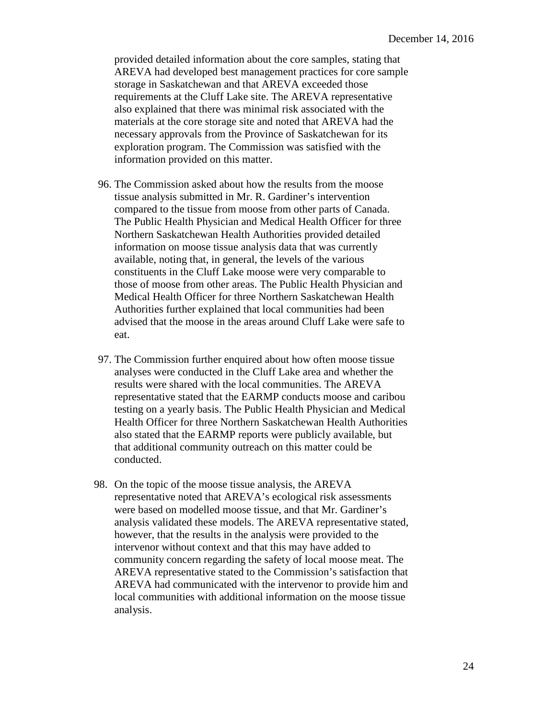provided detailed information about the core samples, stating that AREVA had developed best management practices for core sample storage in Saskatchewan and that AREVA exceeded those requirements at the Cluff Lake site. The AREVA representative also explained that there was minimal risk associated with the materials at the core storage site and noted that AREVA had the necessary approvals from the Province of Saskatchewan for its exploration program. The Commission was satisfied with the information provided on this matter.

- 96. The Commission asked about how the results from the moose tissue analysis submitted in Mr. R. Gardiner's intervention compared to the tissue from moose from other parts of Canada. The Public Health Physician and Medical Health Officer for three Northern Saskatchewan Health Authorities provided detailed information on moose tissue analysis data that was currently available, noting that, in general, the levels of the various constituents in the Cluff Lake moose were very comparable to those of moose from other areas. The Public Health Physician and Medical Health Officer for three Northern Saskatchewan Health Authorities further explained that local communities had been advised that the moose in the areas around Cluff Lake were safe to eat.
- 97. The Commission further enquired about how often moose tissue analyses were conducted in the Cluff Lake area and whether the results were shared with the local communities. The AREVA representative stated that the EARMP conducts moose and caribou testing on a yearly basis. The Public Health Physician and Medical Health Officer for three Northern Saskatchewan Health Authorities also stated that the EARMP reports were publicly available, but that additional community outreach on this matter could be conducted.
- 98. On the topic of the moose tissue analysis, the AREVA representative noted that AREVA's ecological risk assessments were based on modelled moose tissue, and that Mr. Gardiner's analysis validated these models. The AREVA representative stated, however, that the results in the analysis were provided to the intervenor without context and that this may have added to community concern regarding the safety of local moose meat. The AREVA representative stated to the Commission's satisfaction that AREVA had communicated with the intervenor to provide him and local communities with additional information on the moose tissue analysis.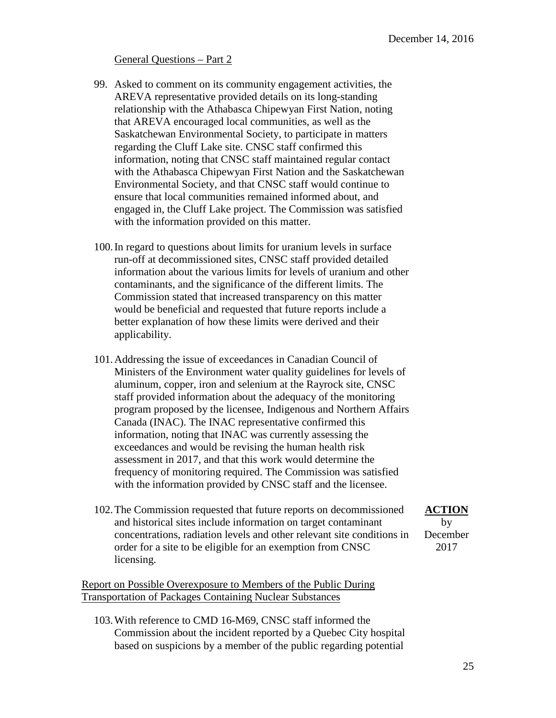## General Questions – Part 2

- 99. Asked to comment on its community engagement activities, the AREVA representative provided details on its long-standing relationship with the Athabasca Chipewyan First Nation, noting that AREVA encouraged local communities, as well as the Saskatchewan Environmental Society, to participate in matters regarding the Cluff Lake site. CNSC staff confirmed this information, noting that CNSC staff maintained regular contact with the Athabasca Chipewyan First Nation and the Saskatchewan Environmental Society, and that CNSC staff would continue to ensure that local communities remained informed about, and engaged in, the Cluff Lake project. The Commission was satisfied with the information provided on this matter.
- 100.In regard to questions about limits for uranium levels in surface run-off at decommissioned sites, CNSC staff provided detailed information about the various limits for levels of uranium and other contaminants, and the significance of the different limits. The Commission stated that increased transparency on this matter would be beneficial and requested that future reports include a better explanation of how these limits were derived and their applicability.
- 101.Addressing the issue of exceedances in Canadian Council of Ministers of the Environment water quality guidelines for levels of aluminum, copper, iron and selenium at the Rayrock site, CNSC staff provided information about the adequacy of the monitoring program proposed by the licensee, Indigenous and Northern Affairs Canada (INAC). The INAC representative confirmed this information, noting that INAC was currently assessing the exceedances and would be revising the human health risk assessment in 2017, and that this work would determine the frequency of monitoring required. The Commission was satisfied with the information provided by CNSC staff and the licensee.
- 102.The Commission requested that future reports on decommissioned **ACTION**  and historical sites include information on target contaminant by concentrations, radiation levels and other relevant site conditions in December order for a site to be eligible for an exemption from CNSC 2017 licensing.

Report on Possible Overexposure to Members of the Public During Transportation of Packages Containing Nuclear Substances

103.With reference to CMD 16-M69, CNSC staff informed the Commission about the incident reported by a Quebec City hospital based on suspicions by a member of the public regarding potential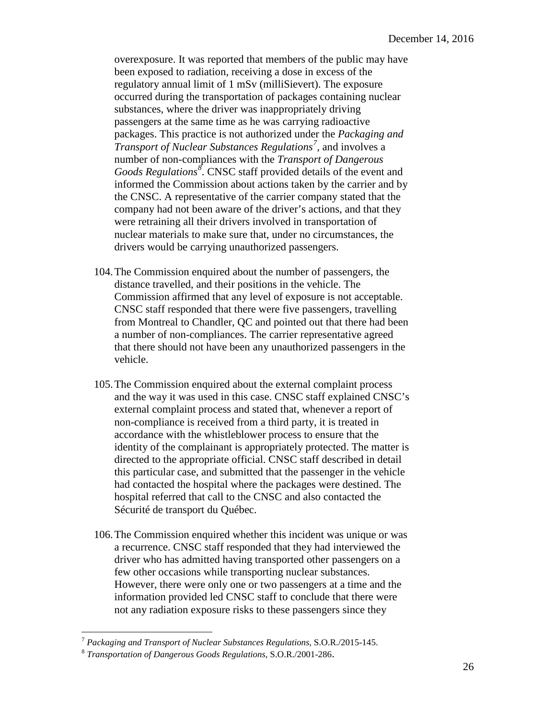overexposure. It was reported that members of the public may have been exposed to radiation, receiving a dose in excess of the regulatory annual limit of 1 mSv (milliSievert). The exposure occurred during the transportation of packages containing nuclear substances, where the driver was inappropriately driving passengers at the same time as he was carrying radioactive packages. This practice is not authorized under the *Packaging and Transport of Nuclear Substances Regulations[7](#page-26-0) ,* and involves a number of non-compliances with the *Transport of Dangerous Goods Regulations[8](#page-26-1)* . CNSC staff provided details of the event and informed the Commission about actions taken by the carrier and by the CNSC. A representative of the carrier company stated that the company had not been aware of the driver's actions, and that they were retraining all their drivers involved in transportation of nuclear materials to make sure that, under no circumstances, the drivers would be carrying unauthorized passengers.

- 104.The Commission enquired about the number of passengers, the distance travelled, and their positions in the vehicle. The Commission affirmed that any level of exposure is not acceptable. CNSC staff responded that there were five passengers, travelling from Montreal to Chandler, QC and pointed out that there had been a number of non-compliances. The carrier representative agreed that there should not have been any unauthorized passengers in the vehicle.
- 105.The Commission enquired about the external complaint process and the way it was used in this case. CNSC staff explained CNSC's external complaint process and stated that, whenever a report of non-compliance is received from a third party, it is treated in accordance with the whistleblower process to ensure that the identity of the complainant is appropriately protected. The matter is directed to the appropriate official. CNSC staff described in detail this particular case, and submitted that the passenger in the vehicle had contacted the hospital where the packages were destined. The hospital referred that call to the CNSC and also contacted the Sécurité de transport du Québec.
- 106.The Commission enquired whether this incident was unique or was a recurrence. CNSC staff responded that they had interviewed the driver who has admitted having transported other passengers on a few other occasions while transporting nuclear substances. However, there were only one or two passengers at a time and the information provided led CNSC staff to conclude that there were not any radiation exposure risks to these passengers since they

<span id="page-26-0"></span> $\overline{a}$ <sup>7</sup> Packaging and Transport of Nuclear Substances Regulations, S.O.R./2015-145.<br><sup>8</sup> Transportation of Dangerous Goods Regulations, S.O.R./2001-286.

<span id="page-26-1"></span>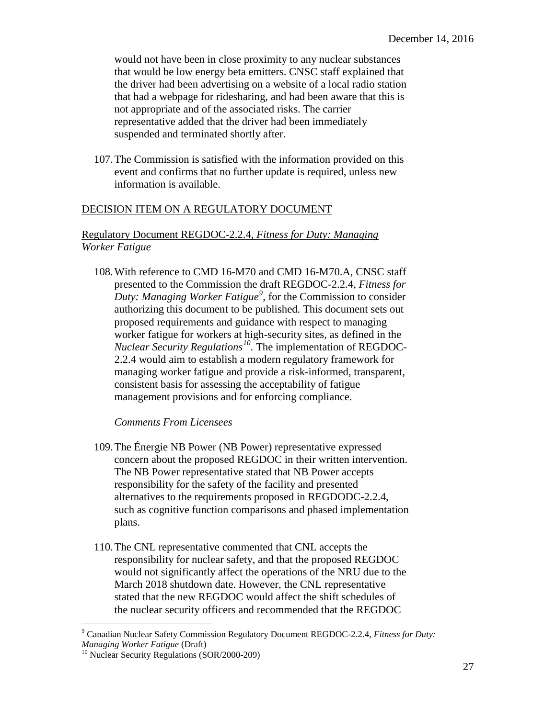would not have been in close proximity to any nuclear substances that would be low energy beta emitters. CNSC staff explained that the driver had been advertising on a website of a local radio station that had a webpage for ridesharing, and had been aware that this is not appropriate and of the associated risks. The carrier representative added that the driver had been immediately suspended and terminated shortly after.

107.The Commission is satisfied with the information provided on this event and confirms that no further update is required, unless new information is available.

# DECISION ITEM ON A REGULATORY DOCUMENT

# Regulatory Document REGDOC-2.2.4, *Fitness for Duty: Managing Worker Fatigue*

108.With reference to CMD 16-M70 and CMD 16-M70.A, CNSC staff presented to the Commission the draft REGDOC-2.2.4, *Fitness for Duty: Managing Worker Fatigue[9](#page-27-0)* , for the Commission to consider authorizing this document to be published. This document sets out proposed requirements and guidance with respect to managing worker fatigue for workers at high-security sites, as defined in the *Nuclear Security Regulations[10](#page-27-1)*. The implementation of REGDOC-2.2.4 would aim to establish a modern regulatory framework for managing worker fatigue and provide a risk-informed, transparent, consistent basis for assessing the acceptability of fatigue management provisions and for enforcing compliance.

### *Comments From Licensees*

- 109.The Énergie NB Power (NB Power) representative expressed concern about the proposed REGDOC in their written intervention. The NB Power representative stated that NB Power accepts responsibility for the safety of the facility and presented alternatives to the requirements proposed in REGDODC-2.2.4, such as cognitive function comparisons and phased implementation plans.
- 110.The CNL representative commented that CNL accepts the responsibility for nuclear safety, and that the proposed REGDOC would not significantly affect the operations of the NRU due to the March 2018 shutdown date. However, the CNL representative stated that the new REGDOC would affect the shift schedules of the nuclear security officers and recommended that the REGDOC

 $\overline{a}$ 

<span id="page-27-0"></span><sup>9</sup> Canadian Nuclear Safety Commission Regulatory Document REGDOC-2.2.4, *Fitness for Duty: Managing Worker Fatigue* (Draft)

<span id="page-27-1"></span><sup>&</sup>lt;sup>10</sup> Nuclear Security Regulations (SOR/2000-209)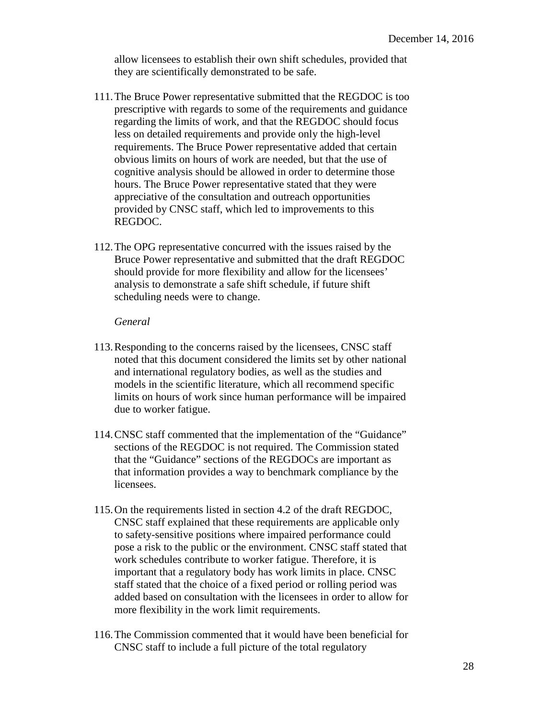allow licensees to establish their own shift schedules, provided that they are scientifically demonstrated to be safe.

- 111.The Bruce Power representative submitted that the REGDOC is too prescriptive with regards to some of the requirements and guidance regarding the limits of work, and that the REGDOC should focus less on detailed requirements and provide only the high-level requirements. The Bruce Power representative added that certain obvious limits on hours of work are needed, but that the use of cognitive analysis should be allowed in order to determine those hours. The Bruce Power representative stated that they were appreciative of the consultation and outreach opportunities provided by CNSC staff, which led to improvements to this REGDOC.
- 112.The OPG representative concurred with the issues raised by the Bruce Power representative and submitted that the draft REGDOC should provide for more flexibility and allow for the licensees' analysis to demonstrate a safe shift schedule, if future shift scheduling needs were to change.

#### *General*

- 113.Responding to the concerns raised by the licensees, CNSC staff noted that this document considered the limits set by other national and international regulatory bodies, as well as the studies and models in the scientific literature, which all recommend specific limits on hours of work since human performance will be impaired due to worker fatigue.
- 114.CNSC staff commented that the implementation of the "Guidance" sections of the REGDOC is not required. The Commission stated that the "Guidance" sections of the REGDOCs are important as that information provides a way to benchmark compliance by the licensees.
- 115.On the requirements listed in section 4.2 of the draft REGDOC, CNSC staff explained that these requirements are applicable only to safety-sensitive positions where impaired performance could pose a risk to the public or the environment. CNSC staff stated that work schedules contribute to worker fatigue. Therefore, it is important that a regulatory body has work limits in place. CNSC staff stated that the choice of a fixed period or rolling period was added based on consultation with the licensees in order to allow for more flexibility in the work limit requirements.
- 116.The Commission commented that it would have been beneficial for CNSC staff to include a full picture of the total regulatory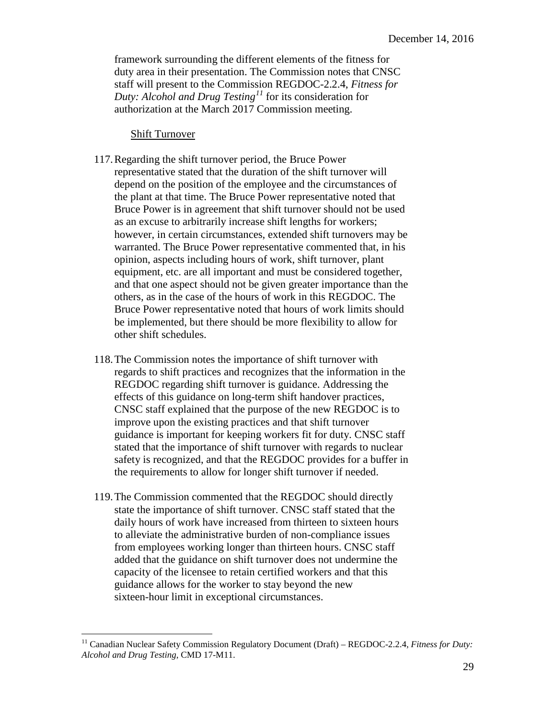framework surrounding the different elements of the fitness for duty area in their presentation. The Commission notes that CNSC staff will present to the Commission REGDOC-2.2.4, *Fitness for Duty: Alcohol and Drug Testing[11](#page-29-0)* for its consideration for authorization at the March 2017 Commission meeting.

#### Shift Turnover

-

- 117.Regarding the shift turnover period, the Bruce Power representative stated that the duration of the shift turnover will depend on the position of the employee and the circumstances of the plant at that time. The Bruce Power representative noted that Bruce Power is in agreement that shift turnover should not be used as an excuse to arbitrarily increase shift lengths for workers; however, in certain circumstances, extended shift turnovers may be warranted. The Bruce Power representative commented that, in his opinion, aspects including hours of work, shift turnover, plant equipment, etc. are all important and must be considered together, and that one aspect should not be given greater importance than the others, as in the case of the hours of work in this REGDOC. The Bruce Power representative noted that hours of work limits should be implemented, but there should be more flexibility to allow for other shift schedules.
- 118.The Commission notes the importance of shift turnover with regards to shift practices and recognizes that the information in the REGDOC regarding shift turnover is guidance. Addressing the effects of this guidance on long-term shift handover practices, CNSC staff explained that the purpose of the new REGDOC is to improve upon the existing practices and that shift turnover guidance is important for keeping workers fit for duty. CNSC staff stated that the importance of shift turnover with regards to nuclear safety is recognized, and that the REGDOC provides for a buffer in the requirements to allow for longer shift turnover if needed.
- 119.The Commission commented that the REGDOC should directly state the importance of shift turnover. CNSC staff stated that the daily hours of work have increased from thirteen to sixteen hours to alleviate the administrative burden of non-compliance issues from employees working longer than thirteen hours. CNSC staff added that the guidance on shift turnover does not undermine the capacity of the licensee to retain certified workers and that this guidance allows for the worker to stay beyond the new sixteen-hour limit in exceptional circumstances.

<span id="page-29-0"></span><sup>&</sup>lt;sup>11</sup> Canadian Nuclear Safety Commission Regulatory Document (Draft) – REGDOC-2.2.4, *Fitness for Duty*: *Alcohol and Drug Testing*, CMD 17-M11.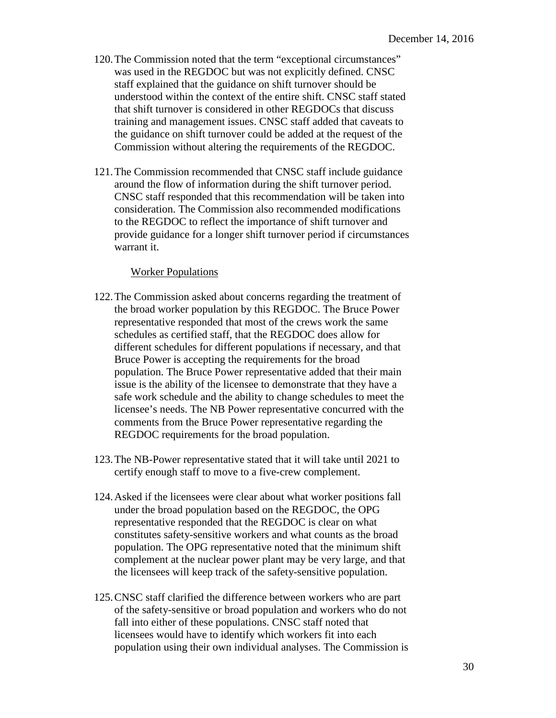- that shift turnover is considered in other REGDOCs that discuss 120.The Commission noted that the term "exceptional circumstances" was used in the REGDOC but was not explicitly defined. CNSC staff explained that the guidance on shift turnover should be understood within the context of the entire shift. CNSC staff stated training and management issues. CNSC staff added that caveats to the guidance on shift turnover could be added at the request of the Commission without altering the requirements of the REGDOC.
- 121.The Commission recommended that CNSC staff include guidance around the flow of information during the shift turnover period. CNSC staff responded that this recommendation will be taken into consideration. The Commission also recommended modifications to the REGDOC to reflect the importance of shift turnover and provide guidance for a longer shift turnover period if circumstances warrant it.

#### Worker Populations

- different schedules for different populations if necessary, and that 122.The Commission asked about concerns regarding the treatment of the broad worker population by this REGDOC. The Bruce Power representative responded that most of the crews work the same schedules as certified staff, that the REGDOC does allow for Bruce Power is accepting the requirements for the broad population. The Bruce Power representative added that their main issue is the ability of the licensee to demonstrate that they have a safe work schedule and the ability to change schedules to meet the licensee's needs. The NB Power representative concurred with the comments from the Bruce Power representative regarding the REGDOC requirements for the broad population.
- 123.The NB-Power representative stated that it will take until 2021 to certify enough staff to move to a five-crew complement.
- population. The OPG representative noted that the minimum shift 124.Asked if the licensees were clear about what worker positions fall under the broad population based on the REGDOC, the OPG representative responded that the REGDOC is clear on what constitutes safety-sensitive workers and what counts as the broad complement at the nuclear power plant may be very large, and that the licensees will keep track of the safety-sensitive population.
- 125.CNSC staff clarified the difference between workers who are part of the safety-sensitive or broad population and workers who do not fall into either of these populations. CNSC staff noted that licensees would have to identify which workers fit into each population using their own individual analyses. The Commission is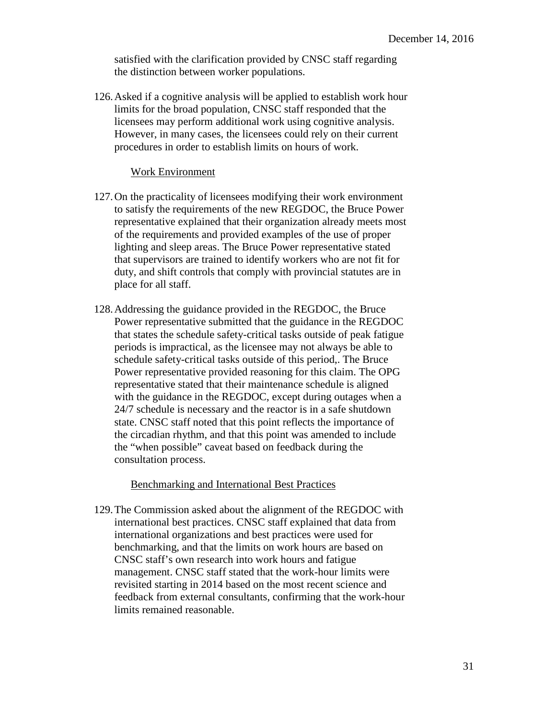satisfied with the clarification provided by CNSC staff regarding the distinction between worker populations.

126.Asked if a cognitive analysis will be applied to establish work hour limits for the broad population, CNSC staff responded that the licensees may perform additional work using cognitive analysis. However, in many cases, the licensees could rely on their current procedures in order to establish limits on hours of work.

#### Work Environment

- 127.On the practicality of licensees modifying their work environment to satisfy the requirements of the new REGDOC, the Bruce Power representative explained that their organization already meets most of the requirements and provided examples of the use of proper lighting and sleep areas. The Bruce Power representative stated that supervisors are trained to identify workers who are not fit for duty, and shift controls that comply with provincial statutes are in place for all staff.
- 128.Addressing the guidance provided in the REGDOC, the Bruce Power representative submitted that the guidance in the REGDOC that states the schedule safety-critical tasks outside of peak fatigue periods is impractical, as the licensee may not always be able to schedule safety-critical tasks outside of this period,. The Bruce Power representative provided reasoning for this claim. The OPG representative stated that their maintenance schedule is aligned with the guidance in the REGDOC, except during outages when a 24/7 schedule is necessary and the reactor is in a safe shutdown state. CNSC staff noted that this point reflects the importance of the circadian rhythm, and that this point was amended to include the "when possible" caveat based on feedback during the consultation process.

#### Benchmarking and International Best Practices

129.The Commission asked about the alignment of the REGDOC with international best practices. CNSC staff explained that data from international organizations and best practices were used for benchmarking, and that the limits on work hours are based on CNSC staff's own research into work hours and fatigue management. CNSC staff stated that the work-hour limits were revisited starting in 2014 based on the most recent science and feedback from external consultants, confirming that the work-hour limits remained reasonable.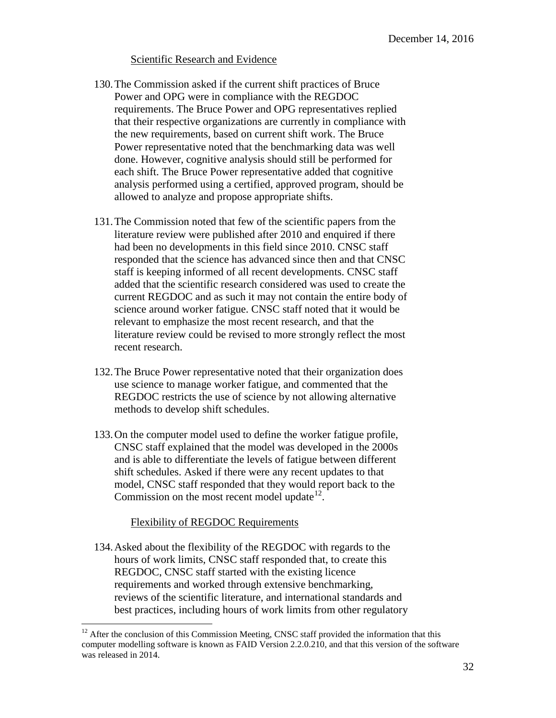### Scientific Research and Evidence

- 130.The Commission asked if the current shift practices of Bruce Power and OPG were in compliance with the REGDOC requirements. The Bruce Power and OPG representatives replied that their respective organizations are currently in compliance with the new requirements, based on current shift work. The Bruce Power representative noted that the benchmarking data was well done. However, cognitive analysis should still be performed for each shift. The Bruce Power representative added that cognitive analysis performed using a certified, approved program, should be allowed to analyze and propose appropriate shifts.
- 131.The Commission noted that few of the scientific papers from the literature review were published after 2010 and enquired if there had been no developments in this field since 2010. CNSC staff responded that the science has advanced since then and that CNSC staff is keeping informed of all recent developments. CNSC staff added that the scientific research considered was used to create the current REGDOC and as such it may not contain the entire body of science around worker fatigue. CNSC staff noted that it would be relevant to emphasize the most recent research, and that the literature review could be revised to more strongly reflect the most recent research.
- 132.The Bruce Power representative noted that their organization does use science to manage worker fatigue, and commented that the REGDOC restricts the use of science by not allowing alternative methods to develop shift schedules.
- 133.On the computer model used to define the worker fatigue profile, CNSC staff explained that the model was developed in the 2000s and is able to differentiate the levels of fatigue between different shift schedules. Asked if there were any recent updates to that model, CNSC staff responded that they would report back to the Commission on the most recent model update  $12$ .

# Flexibility of REGDOC Requirements

 $\overline{a}$ 

134.Asked about the flexibility of the REGDOC with regards to the hours of work limits, CNSC staff responded that, to create this REGDOC, CNSC staff started with the existing licence requirements and worked through extensive benchmarking, reviews of the scientific literature, and international standards and best practices, including hours of work limits from other regulatory

<span id="page-32-0"></span> $12$  After the conclusion of this Commission Meeting, CNSC staff provided the information that this computer modelling software is known as FAID Version 2.2.0.210, and that this version of the software was released in 2014.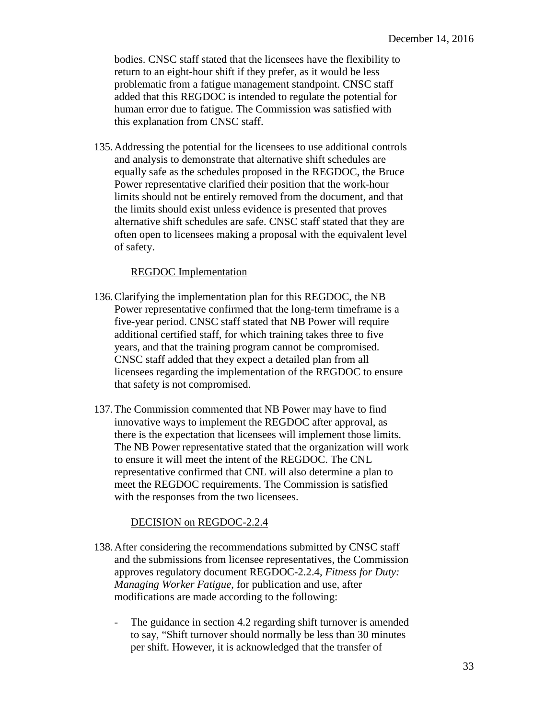bodies. CNSC staff stated that the licensees have the flexibility to return to an eight-hour shift if they prefer, as it would be less problematic from a fatigue management standpoint. CNSC staff added that this REGDOC is intended to regulate the potential for human error due to fatigue. The Commission was satisfied with this explanation from CNSC staff.

135.Addressing the potential for the licensees to use additional controls and analysis to demonstrate that alternative shift schedules are equally safe as the schedules proposed in the REGDOC, the Bruce Power representative clarified their position that the work-hour limits should not be entirely removed from the document, and that the limits should exist unless evidence is presented that proves alternative shift schedules are safe. CNSC staff stated that they are often open to licensees making a proposal with the equivalent level of safety.

## REGDOC Implementation

- 136.Clarifying the implementation plan for this REGDOC, the NB Power representative confirmed that the long-term timeframe is a five-year period. CNSC staff stated that NB Power will require additional certified staff, for which training takes three to five years, and that the training program cannot be compromised. CNSC staff added that they expect a detailed plan from all licensees regarding the implementation of the REGDOC to ensure that safety is not compromised.
- 137.The Commission commented that NB Power may have to find innovative ways to implement the REGDOC after approval, as there is the expectation that licensees will implement those limits. The NB Power representative stated that the organization will work to ensure it will meet the intent of the REGDOC. The CNL representative confirmed that CNL will also determine a plan to meet the REGDOC requirements. The Commission is satisfied with the responses from the two licensees.

# DECISION on REGDOC-2.2.4

- 138.After considering the recommendations submitted by CNSC staff and the submissions from licensee representatives, the Commission approves regulatory document REGDOC-2.2.4, *Fitness for Duty: Managing Worker Fatigue*, for publication and use, after modifications are made according to the following:
	- The guidance in section 4.2 regarding shift turnover is amended to say, "Shift turnover should normally be less than 30 minutes per shift. However, it is acknowledged that the transfer of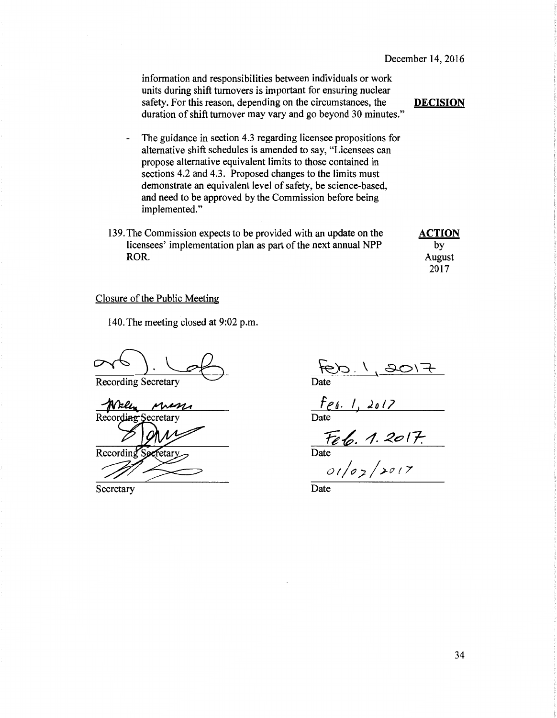information and responsibilities between individuals or work units during shift turnovers is important for ensuring nuclear safety. For this reason, depending on the circumstances, the DECISION duration of shift turnover may vary and go beyond 30 minutes."

- The guidance in section 4.3 regarding licensee propositions for alternative shift schedules is amended to say, "Licensees can propose alternative equivalent limits to those contained in sections 4.2 and 4.3. Proposed changes to the limits must demonstrate an equivalent level of safety, be science-based, and need to be approved by the Commission before being implemented."
- 139. The Commission expects to be provided with an update on the **ACTION** licensees' implementation plan as part of the next annual NPP by ROR. August 2008. August 2008. August 2008. August 2008. August 2008. August 2008. August 2008. August 2008. August 2008. August 2008. August 2008. August 2008. August 2008. August 2008. August 2008. August 2008. August 20

2017

#### Closure of the Public Meeting

140. The meeting closed at 9:02 p.m.

Recording Secretary

Record ecretary Recording fetary

Secretary

 $\frac{660.1}{10007}$ Date

<u>fer. 1, 2017</u> Date

Date

*or/o;;./>r7t7* 

Date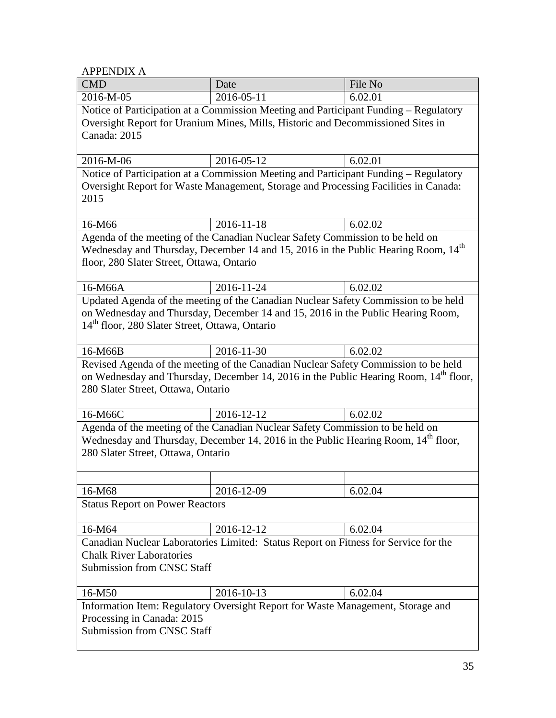APPENDIX A

| <b>CMD</b>                                                                                                                                                                                                                                              | Date       | File No |  |  |
|---------------------------------------------------------------------------------------------------------------------------------------------------------------------------------------------------------------------------------------------------------|------------|---------|--|--|
| 2016-M-05                                                                                                                                                                                                                                               | 2016-05-11 | 6.02.01 |  |  |
| Notice of Participation at a Commission Meeting and Participant Funding - Regulatory<br>Oversight Report for Uranium Mines, Mills, Historic and Decommissioned Sites in<br>Canada: 2015                                                                 |            |         |  |  |
| 2016-M-06                                                                                                                                                                                                                                               | 2016-05-12 | 6.02.01 |  |  |
| Notice of Participation at a Commission Meeting and Participant Funding - Regulatory<br>Oversight Report for Waste Management, Storage and Processing Facilities in Canada:<br>2015                                                                     |            |         |  |  |
| 16-M66                                                                                                                                                                                                                                                  | 2016-11-18 | 6.02.02 |  |  |
| Agenda of the meeting of the Canadian Nuclear Safety Commission to be held on<br>Wednesday and Thursday, December 14 and 15, 2016 in the Public Hearing Room, 14 <sup>th</sup><br>floor, 280 Slater Street, Ottawa, Ontario                             |            |         |  |  |
| 16-M66A                                                                                                                                                                                                                                                 | 2016-11-24 | 6.02.02 |  |  |
| Updated Agenda of the meeting of the Canadian Nuclear Safety Commission to be held<br>on Wednesday and Thursday, December 14 and 15, 2016 in the Public Hearing Room,<br>14 <sup>th</sup> floor, 280 Slater Street, Ottawa, Ontario                     |            |         |  |  |
| 16-M66B                                                                                                                                                                                                                                                 | 2016-11-30 | 6.02.02 |  |  |
| Revised Agenda of the meeting of the Canadian Nuclear Safety Commission to be held<br>on Wednesday and Thursday, December 14, 2016 in the Public Hearing Room, 14 <sup>th</sup> floor,<br>280 Slater Street, Ottawa, Ontario                            |            |         |  |  |
| 16-M66C                                                                                                                                                                                                                                                 | 2016-12-12 | 6.02.02 |  |  |
| Agenda of the meeting of the Canadian Nuclear Safety Commission to be held on<br>Wednesday and Thursday, December 14, 2016 in the Public Hearing Room, 14 <sup>th</sup> floor,<br>280 Slater Street, Ottawa, Ontario<br>16-M68<br>2016-12-09<br>6.02.04 |            |         |  |  |
| <b>Status Report on Power Reactors</b>                                                                                                                                                                                                                  |            |         |  |  |
| 16-M64                                                                                                                                                                                                                                                  | 2016-12-12 | 6.02.04 |  |  |
| Canadian Nuclear Laboratories Limited: Status Report on Fitness for Service for the<br><b>Chalk River Laboratories</b><br><b>Submission from CNSC Staff</b>                                                                                             |            |         |  |  |
| 16-M50                                                                                                                                                                                                                                                  | 2016-10-13 | 6.02.04 |  |  |
| Information Item: Regulatory Oversight Report for Waste Management, Storage and<br>Processing in Canada: 2015<br><b>Submission from CNSC Staff</b>                                                                                                      |            |         |  |  |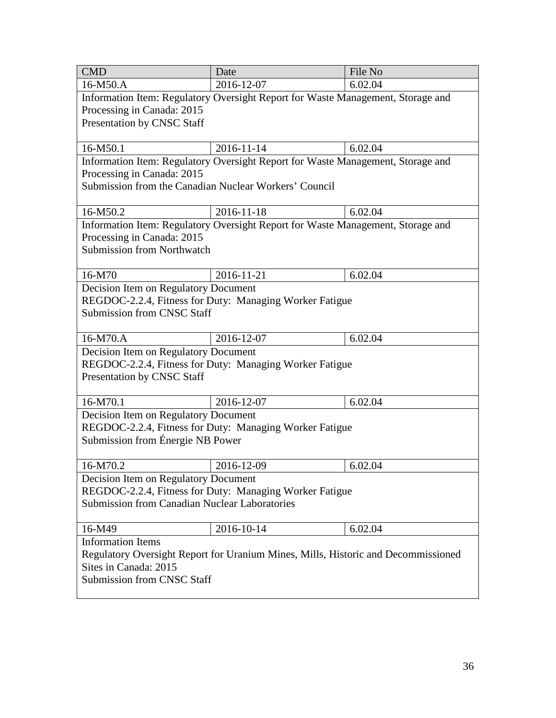| <b>CMD</b>                                                                                                                                  | Date                                                                            | File No |  |  |  |
|---------------------------------------------------------------------------------------------------------------------------------------------|---------------------------------------------------------------------------------|---------|--|--|--|
| 16-M50.A                                                                                                                                    | 2016-12-07                                                                      | 6.02.04 |  |  |  |
| Information Item: Regulatory Oversight Report for Waste Management, Storage and<br>Processing in Canada: 2015<br>Presentation by CNSC Staff |                                                                                 |         |  |  |  |
| 16-M50.1                                                                                                                                    | 2016-11-14                                                                      | 6.02.04 |  |  |  |
|                                                                                                                                             | Information Item: Regulatory Oversight Report for Waste Management, Storage and |         |  |  |  |
| Processing in Canada: 2015                                                                                                                  |                                                                                 |         |  |  |  |
| Submission from the Canadian Nuclear Workers' Council                                                                                       |                                                                                 |         |  |  |  |
| 16-M50.2                                                                                                                                    | 2016-11-18                                                                      | 6.02.04 |  |  |  |
|                                                                                                                                             | Information Item: Regulatory Oversight Report for Waste Management, Storage and |         |  |  |  |
| Processing in Canada: 2015                                                                                                                  |                                                                                 |         |  |  |  |
| <b>Submission from Northwatch</b>                                                                                                           |                                                                                 |         |  |  |  |
| 16-M70                                                                                                                                      | 2016-11-21                                                                      | 6.02.04 |  |  |  |
| Decision Item on Regulatory Document                                                                                                        |                                                                                 |         |  |  |  |
|                                                                                                                                             | REGDOC-2.2.4, Fitness for Duty: Managing Worker Fatigue                         |         |  |  |  |
| <b>Submission from CNSC Staff</b>                                                                                                           |                                                                                 |         |  |  |  |
| 16-M70.A                                                                                                                                    | 2016-12-07                                                                      | 6.02.04 |  |  |  |
| Decision Item on Regulatory Document                                                                                                        |                                                                                 |         |  |  |  |
| REGDOC-2.2.4, Fitness for Duty: Managing Worker Fatigue<br>Presentation by CNSC Staff                                                       |                                                                                 |         |  |  |  |
| 16-M70.1                                                                                                                                    | 2016-12-07                                                                      | 6.02.04 |  |  |  |
| Decision Item on Regulatory Document                                                                                                        |                                                                                 |         |  |  |  |
|                                                                                                                                             | REGDOC-2.2.4, Fitness for Duty: Managing Worker Fatigue                         |         |  |  |  |
| Submission from Énergie NB Power                                                                                                            |                                                                                 |         |  |  |  |
| 16-M70.2                                                                                                                                    | 2016-12-09                                                                      | 6.02.04 |  |  |  |
| Decision Item on Regulatory Document                                                                                                        |                                                                                 |         |  |  |  |
| REGDOC-2.2.4, Fitness for Duty: Managing Worker Fatigue                                                                                     |                                                                                 |         |  |  |  |
| <b>Submission from Canadian Nuclear Laboratories</b>                                                                                        |                                                                                 |         |  |  |  |
| 16-M49                                                                                                                                      | 2016-10-14                                                                      | 6.02.04 |  |  |  |
| <b>Information Items</b>                                                                                                                    |                                                                                 |         |  |  |  |
| Regulatory Oversight Report for Uranium Mines, Mills, Historic and Decommissioned                                                           |                                                                                 |         |  |  |  |
| Sites in Canada: 2015                                                                                                                       |                                                                                 |         |  |  |  |
| <b>Submission from CNSC Staff</b>                                                                                                           |                                                                                 |         |  |  |  |
|                                                                                                                                             |                                                                                 |         |  |  |  |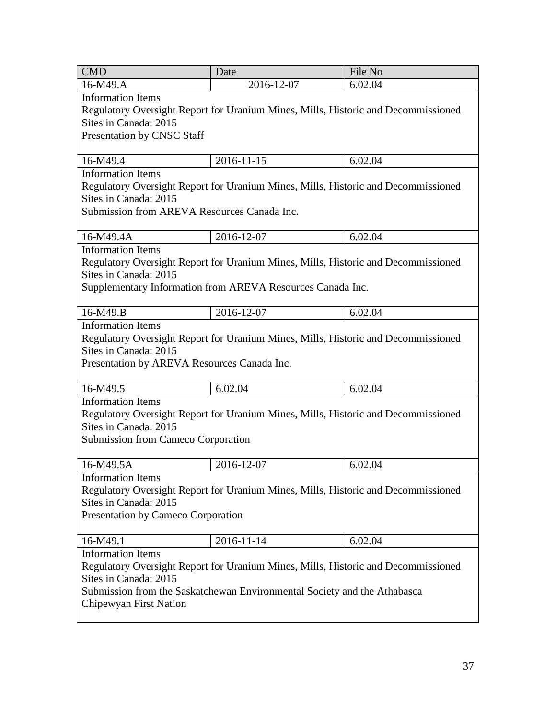| <b>CMD</b>                                                                        | Date                                                                              | File No |  |  |  |
|-----------------------------------------------------------------------------------|-----------------------------------------------------------------------------------|---------|--|--|--|
| 16-M49.A                                                                          | 2016-12-07                                                                        | 6.02.04 |  |  |  |
| <b>Information Items</b>                                                          |                                                                                   |         |  |  |  |
|                                                                                   | Regulatory Oversight Report for Uranium Mines, Mills, Historic and Decommissioned |         |  |  |  |
| Sites in Canada: 2015                                                             |                                                                                   |         |  |  |  |
| Presentation by CNSC Staff                                                        |                                                                                   |         |  |  |  |
|                                                                                   |                                                                                   |         |  |  |  |
| 16-M49.4                                                                          | 2016-11-15                                                                        | 6.02.04 |  |  |  |
| <b>Information Items</b>                                                          |                                                                                   |         |  |  |  |
|                                                                                   | Regulatory Oversight Report for Uranium Mines, Mills, Historic and Decommissioned |         |  |  |  |
| Sites in Canada: 2015                                                             |                                                                                   |         |  |  |  |
| Submission from AREVA Resources Canada Inc.                                       |                                                                                   |         |  |  |  |
|                                                                                   |                                                                                   |         |  |  |  |
| 16-M49.4A                                                                         | 2016-12-07                                                                        | 6.02.04 |  |  |  |
| <b>Information Items</b>                                                          |                                                                                   |         |  |  |  |
|                                                                                   | Regulatory Oversight Report for Uranium Mines, Mills, Historic and Decommissioned |         |  |  |  |
| Sites in Canada: 2015                                                             |                                                                                   |         |  |  |  |
|                                                                                   | Supplementary Information from AREVA Resources Canada Inc.                        |         |  |  |  |
| 16-M49.B                                                                          | 2016-12-07                                                                        |         |  |  |  |
| <b>Information Items</b>                                                          |                                                                                   | 6.02.04 |  |  |  |
|                                                                                   |                                                                                   |         |  |  |  |
| Sites in Canada: 2015                                                             | Regulatory Oversight Report for Uranium Mines, Mills, Historic and Decommissioned |         |  |  |  |
| Presentation by AREVA Resources Canada Inc.                                       |                                                                                   |         |  |  |  |
|                                                                                   |                                                                                   |         |  |  |  |
| 16-M49.5                                                                          | 6.02.04                                                                           | 6.02.04 |  |  |  |
| <b>Information Items</b>                                                          |                                                                                   |         |  |  |  |
|                                                                                   | Regulatory Oversight Report for Uranium Mines, Mills, Historic and Decommissioned |         |  |  |  |
| Sites in Canada: 2015                                                             |                                                                                   |         |  |  |  |
| Submission from Cameco Corporation                                                |                                                                                   |         |  |  |  |
|                                                                                   |                                                                                   |         |  |  |  |
| 16-M49.5A                                                                         | 2016-12-07                                                                        | 6.02.04 |  |  |  |
| <b>Information Items</b>                                                          |                                                                                   |         |  |  |  |
| Regulatory Oversight Report for Uranium Mines, Mills, Historic and Decommissioned |                                                                                   |         |  |  |  |
| Sites in Canada: 2015                                                             |                                                                                   |         |  |  |  |
| Presentation by Cameco Corporation                                                |                                                                                   |         |  |  |  |
|                                                                                   |                                                                                   |         |  |  |  |
| 16-M49.1                                                                          | 2016-11-14                                                                        | 6.02.04 |  |  |  |
| <b>Information Items</b>                                                          |                                                                                   |         |  |  |  |
| Regulatory Oversight Report for Uranium Mines, Mills, Historic and Decommissioned |                                                                                   |         |  |  |  |
| Sites in Canada: 2015                                                             |                                                                                   |         |  |  |  |
| Submission from the Saskatchewan Environmental Society and the Athabasca          |                                                                                   |         |  |  |  |
| Chipewyan First Nation                                                            |                                                                                   |         |  |  |  |
|                                                                                   |                                                                                   |         |  |  |  |